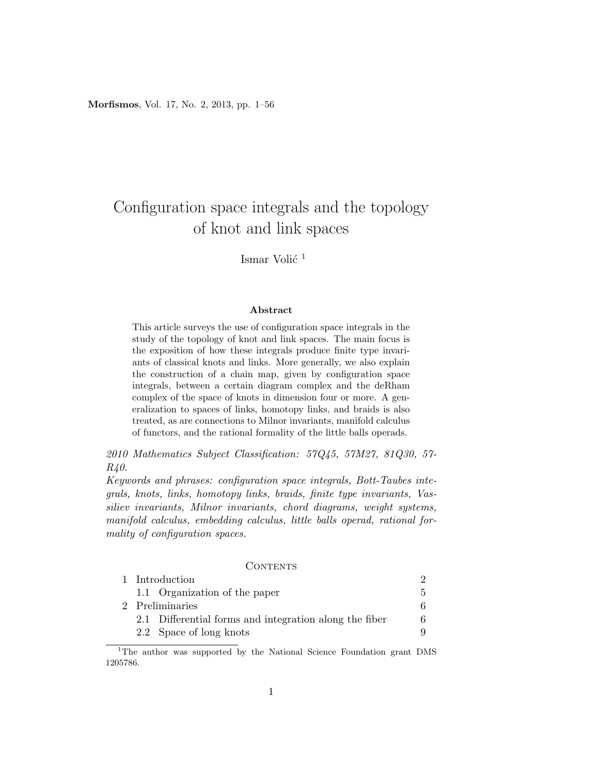Morfismos, Vol. 17, No. 2, 2013, pp. 1–56

# Configuration space integrals and the topology of knot and link spaces

### Ismar Volić<sup>1</sup>

#### Abstract

This article surveys the use of configuration space integrals in the study of the topology of knot and link spaces. The main focus is the exposition of how these integrals produce finite type invariants of classical knots and links. More generally, we also explain the construction of a chain map, given by configuration space integrals, between a certain diagram complex and the deRham complex of the space of knots in dimension four or more. A generalization to spaces of links, homotopy links, and braids is also treated, as are connections to Milnor invariants, manifold calculus of functors, and the rational formality of the little balls operads.

2010 Mathematics Subject Classification: 57Q45, 57M27, 81Q30, 57- R40.

Keywords and phrases: configuration space integrals, Bott-Taubes integrals, knots, links, homotopy links, braids, finite type invariants, Vassiliev invariants, Milnor invariants, chord diagrams, weight systems, manifold calculus, embedding calculus, little balls operad, rational formality of configuration spaces.

#### **CONTENTS**

| 1 Introduction                                         |    |
|--------------------------------------------------------|----|
| 1.1 Organization of the paper                          | 5. |
| 2 Preliminaries                                        |    |
| 2.1 Differential forms and integration along the fiber | 6. |
| 2.2 Space of long knots                                |    |

<sup>1</sup>The author was supported by the National Science Foundation grant DMS 1205786.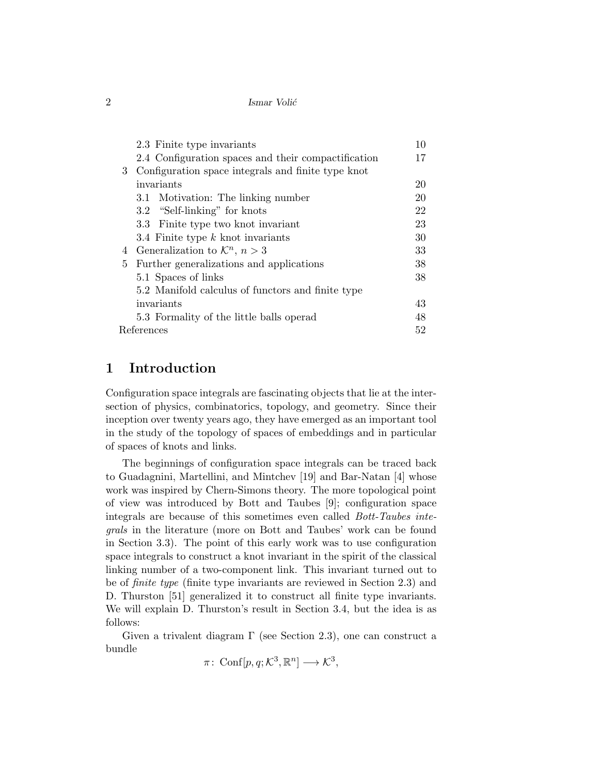|            | 2.3 Finite type invariants                          | 10 |
|------------|-----------------------------------------------------|----|
|            | 2.4 Configuration spaces and their compactification | 17 |
| 3          | Configuration space integrals and finite type knot  |    |
|            | invariants                                          | 20 |
|            | 3.1 Motivation: The linking number                  | 20 |
|            | 3.2 "Self-linking" for knots                        | 22 |
|            | 3.3 Finite type two knot invariant                  | 23 |
|            | 3.4 Finite type $k$ knot invariants                 | 30 |
| 4          | Generalization to $\mathcal{K}^n$ , $n > 3$         | 33 |
| 5.         | Further generalizations and applications            | 38 |
|            | 5.1 Spaces of links                                 | 38 |
|            | 5.2 Manifold calculus of functors and finite type   |    |
|            | invariants                                          | 43 |
|            | 5.3 Formality of the little balls operad            | 48 |
| References |                                                     | 52 |
|            |                                                     |    |

## 1 Introduction

Configuration space integrals are fascinating objects that lie at the intersection of physics, combinatorics, topology, and geometry. Since their inception over twenty years ago, they have emerged as an important tool in the study of the topology of spaces of embeddings and in particular of spaces of knots and links.

The beginnings of configuration space integrals can be traced back to Guadagnini, Martellini, and Mintchev [19] and Bar-Natan [4] whose work was inspired by Chern-Simons theory. The more topological point of view was introduced by Bott and Taubes [9]; configuration space integrals are because of this sometimes even called Bott-Taubes integrals in the literature (more on Bott and Taubes' work can be found in Section 3.3). The point of this early work was to use configuration space integrals to construct a knot invariant in the spirit of the classical linking number of a two-component link. This invariant turned out to be of finite type (finite type invariants are reviewed in Section 2.3) and D. Thurston [51] generalized it to construct all finite type invariants. We will explain D. Thurston's result in Section 3.4, but the idea is as follows:

Given a trivalent diagram Γ (see Section 2.3), one can construct a bundle

 $\pi\colon \operatorname{Conf}[p,q;\mathcal{K}^3,\mathbb{R}^n] \longrightarrow \mathcal{K}^3,$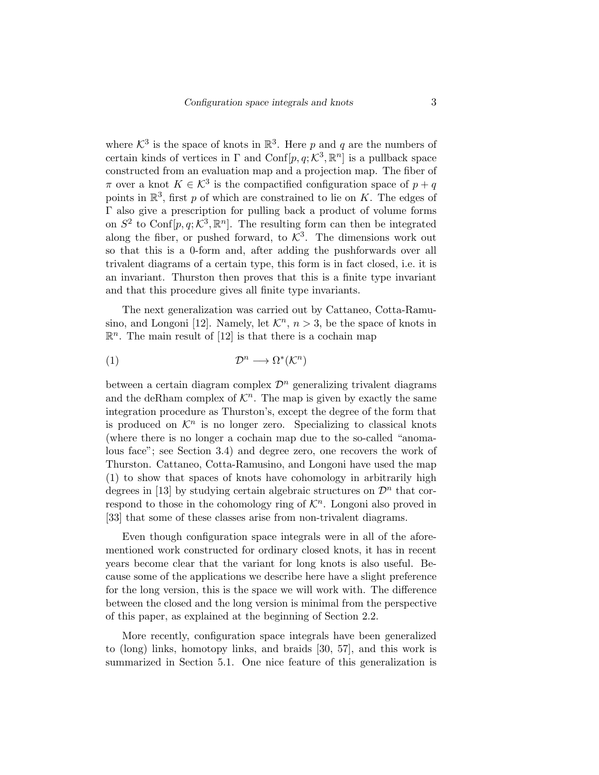where  $\mathcal{K}^3$  is the space of knots in  $\mathbb{R}^3$ . Here p and q are the numbers of certain kinds of vertices in  $\Gamma$  and  $\text{Conf}[p, q; \mathcal{K}^3, \mathbb{R}^n]$  is a pullback space constructed from an evaluation map and a projection map. The fiber of  $\pi$  over a knot  $K \in \mathcal{K}^3$  is the compactified configuration space of  $p + q$ points in  $\mathbb{R}^3$ , first p of which are constrained to lie on K. The edges of Γ also give a prescription for pulling back a product of volume forms on  $S^2$  to Conf[p, q;  $K^3$ ,  $\mathbb{R}^n$ ]. The resulting form can then be integrated along the fiber, or pushed forward, to  $K^3$ . The dimensions work out so that this is a 0-form and, after adding the pushforwards over all trivalent diagrams of a certain type, this form is in fact closed, i.e. it is an invariant. Thurston then proves that this is a finite type invariant and that this procedure gives all finite type invariants.

The next generalization was carried out by Cattaneo, Cotta-Ramusino, and Longoni [12]. Namely, let  $\mathcal{K}^n$ ,  $n > 3$ , be the space of knots in  $\mathbb{R}^n$ . The main result of [12] is that there is a cochain map

$$
(1) \t\t\t \mathcal{D}^n \longrightarrow \Omega^*(\mathcal{K}^n)
$$

between a certain diagram complex  $\mathcal{D}^n$  generalizing trivalent diagrams and the deRham complex of  $\mathcal{K}^n$ . The map is given by exactly the same integration procedure as Thurston's, except the degree of the form that is produced on  $\mathcal{K}^n$  is no longer zero. Specializing to classical knots (where there is no longer a cochain map due to the so-called "anomalous face"; see Section 3.4) and degree zero, one recovers the work of Thurston. Cattaneo, Cotta-Ramusino, and Longoni have used the map (1) to show that spaces of knots have cohomology in arbitrarily high degrees in [13] by studying certain algebraic structures on  $\mathcal{D}^n$  that correspond to those in the cohomology ring of  $\mathcal{K}^n$ . Longoni also proved in [33] that some of these classes arise from non-trivalent diagrams.

Even though configuration space integrals were in all of the aforementioned work constructed for ordinary closed knots, it has in recent years become clear that the variant for long knots is also useful. Because some of the applications we describe here have a slight preference for the long version, this is the space we will work with. The difference between the closed and the long version is minimal from the perspective of this paper, as explained at the beginning of Section 2.2.

More recently, configuration space integrals have been generalized to (long) links, homotopy links, and braids [30, 57], and this work is summarized in Section 5.1. One nice feature of this generalization is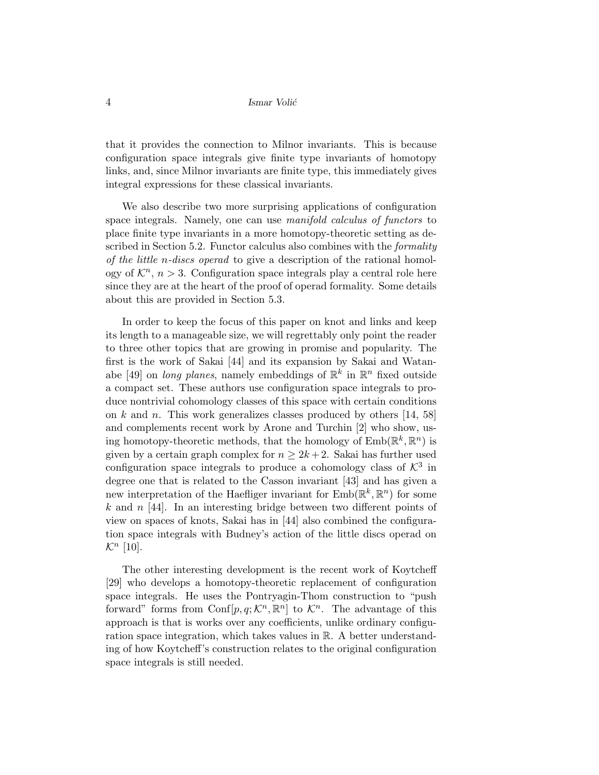that it provides the connection to Milnor invariants. This is because configuration space integrals give finite type invariants of homotopy links, and, since Milnor invariants are finite type, this immediately gives integral expressions for these classical invariants.

We also describe two more surprising applications of configuration space integrals. Namely, one can use manifold calculus of functors to place finite type invariants in a more homotopy-theoretic setting as described in Section 5.2. Functor calculus also combines with the *formality* of the little n-discs operad to give a description of the rational homology of  $\mathcal{K}^n$ ,  $n > 3$ . Configuration space integrals play a central role here since they are at the heart of the proof of operad formality. Some details about this are provided in Section 5.3.

In order to keep the focus of this paper on knot and links and keep its length to a manageable size, we will regrettably only point the reader to three other topics that are growing in promise and popularity. The first is the work of Sakai [44] and its expansion by Sakai and Watanabe [49] on long planes, namely embeddings of  $\mathbb{R}^k$  in  $\mathbb{R}^n$  fixed outside a compact set. These authors use configuration space integrals to produce nontrivial cohomology classes of this space with certain conditions on k and n. This work generalizes classes produced by others  $[14, 58]$ and complements recent work by Arone and Turchin [2] who show, using homotopy-theoretic methods, that the homology of  $\text{Emb}(\mathbb{R}^k, \mathbb{R}^n)$  is given by a certain graph complex for  $n \geq 2k+2$ . Sakai has further used configuration space integrals to produce a cohomology class of  $\mathcal{K}^3$  in degree one that is related to the Casson invariant [43] and has given a new interpretation of the Haefliger invariant for  $\text{Emb}(\mathbb{R}^k, \mathbb{R}^n)$  for some k and  $n$  [44]. In an interesting bridge between two different points of view on spaces of knots, Sakai has in [44] also combined the configuration space integrals with Budney's action of the little discs operad on  $\mathcal{K}^n$  [10].

The other interesting development is the recent work of Koytcheff [29] who develops a homotopy-theoretic replacement of configuration space integrals. He uses the Pontryagin-Thom construction to "push forward" forms from Conf $[p, q; \mathcal{K}^n, \mathbb{R}^n]$  to  $\mathcal{K}^n$ . The advantage of this approach is that is works over any coefficients, unlike ordinary configuration space integration, which takes values in R. A better understanding of how Koytcheff's construction relates to the original configuration space integrals is still needed.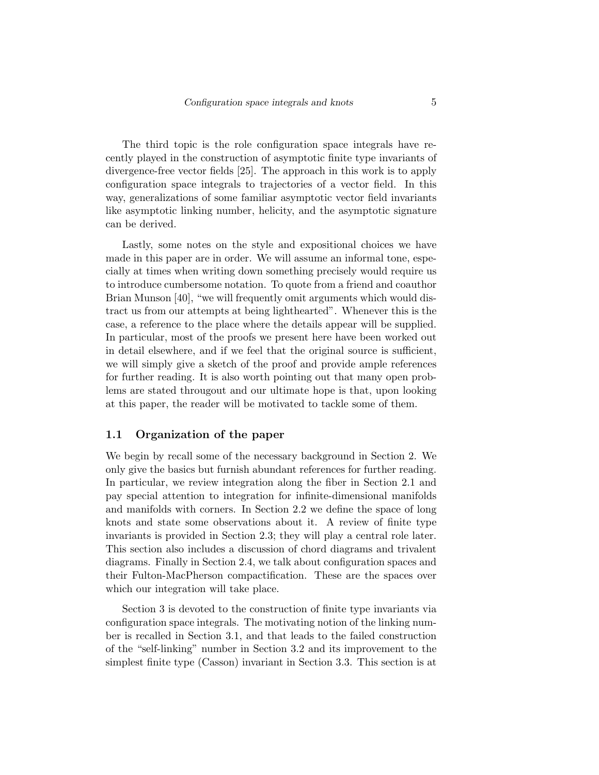The third topic is the role configuration space integrals have recently played in the construction of asymptotic finite type invariants of divergence-free vector fields [25]. The approach in this work is to apply configuration space integrals to trajectories of a vector field. In this way, generalizations of some familiar asymptotic vector field invariants like asymptotic linking number, helicity, and the asymptotic signature can be derived.

Lastly, some notes on the style and expositional choices we have made in this paper are in order. We will assume an informal tone, especially at times when writing down something precisely would require us to introduce cumbersome notation. To quote from a friend and coauthor Brian Munson [40], "we will frequently omit arguments which would distract us from our attempts at being lighthearted". Whenever this is the case, a reference to the place where the details appear will be supplied. In particular, most of the proofs we present here have been worked out in detail elsewhere, and if we feel that the original source is sufficient, we will simply give a sketch of the proof and provide ample references for further reading. It is also worth pointing out that many open problems are stated througout and our ultimate hope is that, upon looking at this paper, the reader will be motivated to tackle some of them.

### 1.1 Organization of the paper

We begin by recall some of the necessary background in Section 2. We only give the basics but furnish abundant references for further reading. In particular, we review integration along the fiber in Section 2.1 and pay special attention to integration for infinite-dimensional manifolds and manifolds with corners. In Section 2.2 we define the space of long knots and state some observations about it. A review of finite type invariants is provided in Section 2.3; they will play a central role later. This section also includes a discussion of chord diagrams and trivalent diagrams. Finally in Section 2.4, we talk about configuration spaces and their Fulton-MacPherson compactification. These are the spaces over which our integration will take place.

Section 3 is devoted to the construction of finite type invariants via configuration space integrals. The motivating notion of the linking number is recalled in Section 3.1, and that leads to the failed construction of the "self-linking" number in Section 3.2 and its improvement to the simplest finite type (Casson) invariant in Section 3.3. This section is at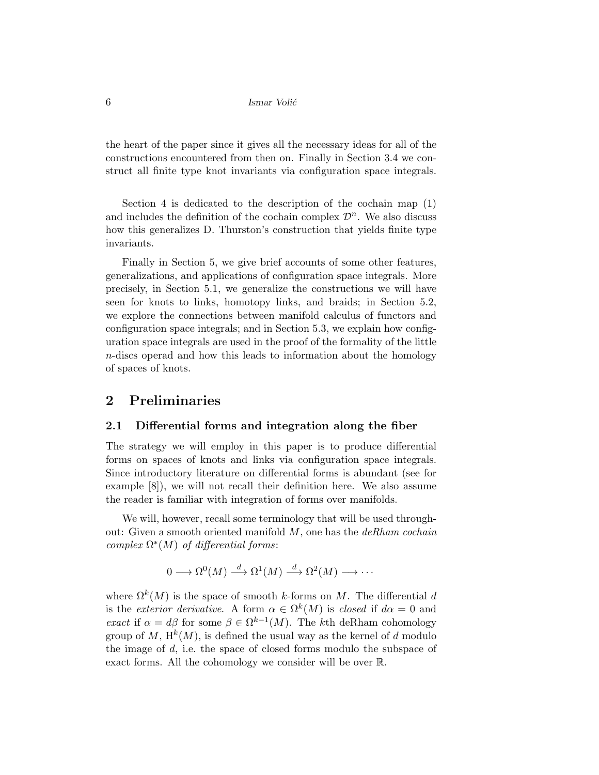the heart of the paper since it gives all the necessary ideas for all of the constructions encountered from then on. Finally in Section 3.4 we construct all finite type knot invariants via configuration space integrals.

Section 4 is dedicated to the description of the cochain map (1) and includes the definition of the cochain complex  $\mathcal{D}^n$ . We also discuss how this generalizes D. Thurston's construction that yields finite type invariants.

Finally in Section 5, we give brief accounts of some other features, generalizations, and applications of configuration space integrals. More precisely, in Section 5.1, we generalize the constructions we will have seen for knots to links, homotopy links, and braids; in Section 5.2, we explore the connections between manifold calculus of functors and configuration space integrals; and in Section 5.3, we explain how configuration space integrals are used in the proof of the formality of the little n-discs operad and how this leads to information about the homology of spaces of knots.

### 2 Preliminaries

### 2.1 Differential forms and integration along the fiber

The strategy we will employ in this paper is to produce differential forms on spaces of knots and links via configuration space integrals. Since introductory literature on differential forms is abundant (see for example [8]), we will not recall their definition here. We also assume the reader is familiar with integration of forms over manifolds.

We will, however, recall some terminology that will be used throughout: Given a smooth oriented manifold  $M$ , one has the  $deRham$  cochain complex  $\Omega^*(M)$  of differential forms:

$$
0 \longrightarrow \Omega^{0}(M) \stackrel{d}{\longrightarrow} \Omega^{1}(M) \stackrel{d}{\longrightarrow} \Omega^{2}(M) \longrightarrow \cdots
$$

where  $\Omega^k(M)$  is the space of smooth k-forms on M. The differential d is the *exterior derivative*. A form  $\alpha \in \Omega^k(M)$  is *closed* if  $d\alpha = 0$  and exact if  $\alpha = d\beta$  for some  $\beta \in \Omega^{k-1}(M)$ . The kth deRham cohomology group of M,  $H^k(M)$ , is defined the usual way as the kernel of d modulo the image of  $d$ , i.e. the space of closed forms modulo the subspace of exact forms. All the cohomology we consider will be over R.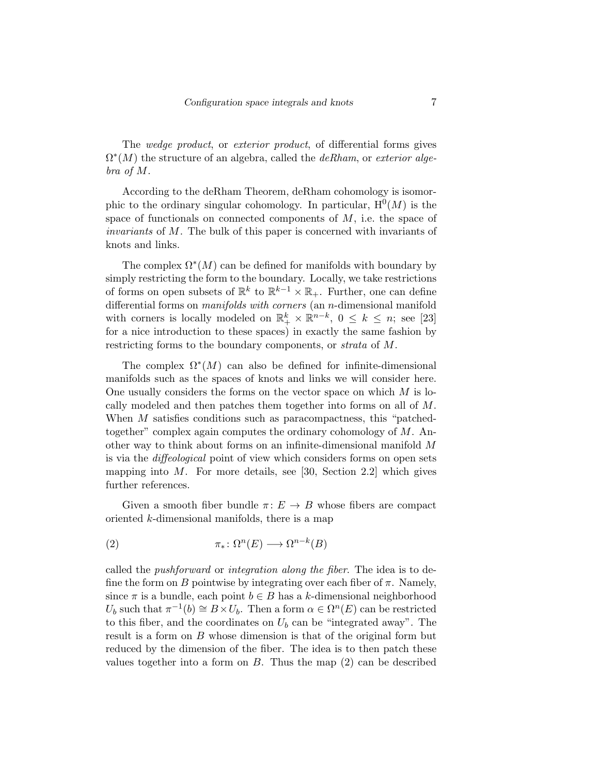The wedge product, or exterior product, of differential forms gives  $\Omega^*(M)$  the structure of an algebra, called the *deRham*, or exterior algebra of M.

According to the deRham Theorem, deRham cohomology is isomorphic to the ordinary singular cohomology. In particular,  $H^0(M)$  is the space of functionals on connected components of  $M$ , i.e. the space of invariants of M. The bulk of this paper is concerned with invariants of knots and links.

The complex  $\Omega^*(M)$  can be defined for manifolds with boundary by simply restricting the form to the boundary. Locally, we take restrictions of forms on open subsets of  $\mathbb{R}^k$  to  $\mathbb{R}^{k-1} \times \mathbb{R}_+$ . Further, one can define differential forms on *manifolds with corners* (an *n*-dimensional manifold with corners is locally modeled on  $\mathbb{R}^k_+ \times \mathbb{R}^{n-k}$ ,  $0 \leq k \leq n$ ; see [23] for a nice introduction to these spaces) in exactly the same fashion by restricting forms to the boundary components, or strata of M.

The complex  $\Omega^*(M)$  can also be defined for infinite-dimensional manifolds such as the spaces of knots and links we will consider here. One usually considers the forms on the vector space on which  $M$  is locally modeled and then patches them together into forms on all of M. When M satisfies conditions such as paracompactness, this "patchedtogether" complex again computes the ordinary cohomology of M. Another way to think about forms on an infinite-dimensional manifold M is via the diffeological point of view which considers forms on open sets mapping into  $M$ . For more details, see [30, Section 2.2] which gives further references.

Given a smooth fiber bundle  $\pi: E \to B$  whose fibers are compact oriented k-dimensional manifolds, there is a map

(2) 
$$
\pi_* \colon \Omega^n(E) \longrightarrow \Omega^{n-k}(B)
$$

called the pushforward or integration along the fiber. The idea is to define the form on B pointwise by integrating over each fiber of  $\pi$ . Namely, since  $\pi$  is a bundle, each point  $b \in B$  has a k-dimensional neighborhood  $U_b$  such that  $\pi^{-1}(b) \cong B \times U_b$ . Then a form  $\alpha \in \Omega^n(E)$  can be restricted to this fiber, and the coordinates on  $U_b$  can be "integrated away". The result is a form on B whose dimension is that of the original form but reduced by the dimension of the fiber. The idea is to then patch these values together into a form on  $B$ . Thus the map  $(2)$  can be described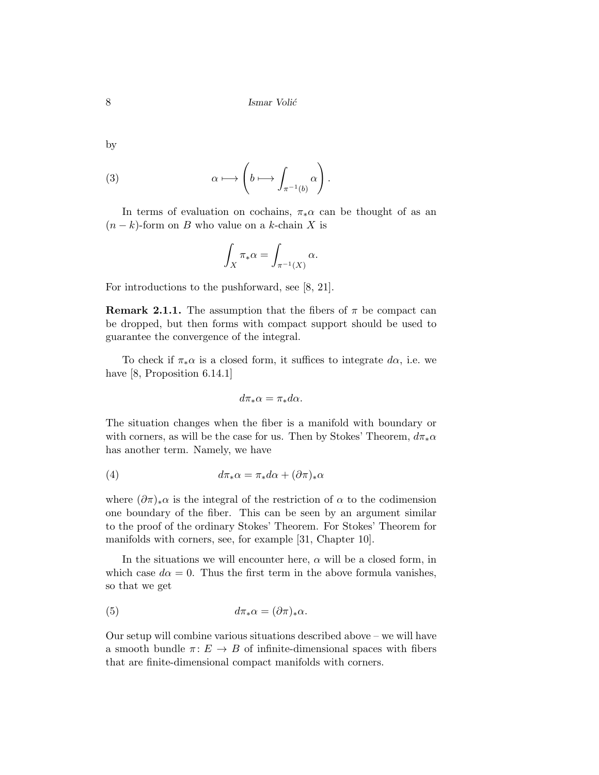by

(3) 
$$
\alpha \longmapsto \left(b \longmapsto \int_{\pi^{-1}(b)} \alpha\right).
$$

In terms of evaluation on cochains,  $\pi_*\alpha$  can be thought of as an  $(n - k)$ -form on B who value on a k-chain X is

$$
\int_X \pi_* \alpha = \int_{\pi^{-1}(X)} \alpha.
$$

For introductions to the pushforward, see [8, 21].

**Remark 2.1.1.** The assumption that the fibers of  $\pi$  be compact can be dropped, but then forms with compact support should be used to guarantee the convergence of the integral.

To check if  $\pi_* \alpha$  is a closed form, it suffices to integrate  $d\alpha$ , i.e. we have [8, Proposition 6.14.1]

$$
d\pi_*\alpha = \pi_*d\alpha.
$$

The situation changes when the fiber is a manifold with boundary or with corners, as will be the case for us. Then by Stokes' Theorem,  $d\pi_*\alpha$ has another term. Namely, we have

(4) 
$$
d\pi_*\alpha = \pi_*d\alpha + (\partial\pi)_*\alpha
$$

where  $(\partial \pi)_*\alpha$  is the integral of the restriction of  $\alpha$  to the codimension one boundary of the fiber. This can be seen by an argument similar to the proof of the ordinary Stokes' Theorem. For Stokes' Theorem for manifolds with corners, see, for example [31, Chapter 10].

In the situations we will encounter here,  $\alpha$  will be a closed form, in which case  $d\alpha = 0$ . Thus the first term in the above formula vanishes, so that we get

(5) 
$$
d\pi_*\alpha = (\partial \pi)_*\alpha.
$$

Our setup will combine various situations described above – we will have a smooth bundle  $\pi: E \to B$  of infinite-dimensional spaces with fibers that are finite-dimensional compact manifolds with corners.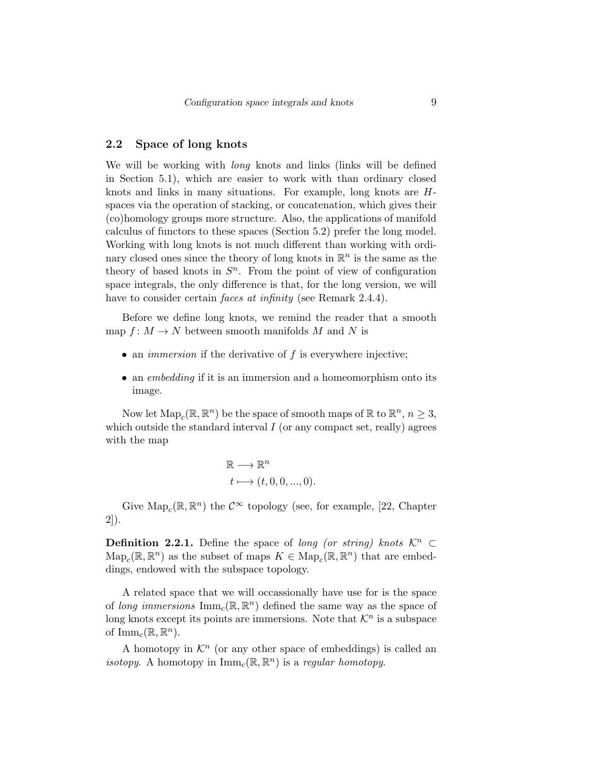### 2.2 Space of long knots

We will be working with *long* knots and links (links will be defined in Section 5.1), which are easier to work with than ordinary closed knots and links in many situations. For example, long knots are Hspaces via the operation of stacking, or concatenation, which gives their (co)homology groups more structure. Also, the applications of manifold calculus of functors to these spaces (Section 5.2) prefer the long model. Working with long knots is not much different than working with ordinary closed ones since the theory of long knots in  $\mathbb{R}^n$  is the same as the theory of based knots in  $S<sup>n</sup>$ . From the point of view of configuration space integrals, the only difference is that, for the long version, we will have to consider certain *faces at infinity* (see Remark 2.4.4).

Before we define long knots, we remind the reader that a smooth map  $f: M \to N$  between smooth manifolds M and N is

- an *immersion* if the derivative of  $f$  is everywhere injective;
- an *embedding* if it is an immersion and a homeomorphism onto its image.

Now let  $\text{Map}_c(\mathbb{R}, \mathbb{R}^n)$  be the space of smooth maps of  $\mathbb{R}$  to  $\mathbb{R}^n$ ,  $n \geq 3$ , which outside the standard interval  $I$  (or any compact set, really) agrees with the map

$$
\mathbb{R} \longrightarrow \mathbb{R}^n
$$
  

$$
t \longmapsto (t, 0, 0, ..., 0).
$$

Give  $\text{Map}_c(\mathbb{R}, \mathbb{R}^n)$  the  $\mathcal{C}^{\infty}$  topology (see, for example, [22, Chapter 2]).

**Definition 2.2.1.** Define the space of long (or string) knots  $\mathcal{K}^n$  ⊂  $\text{Map}_c(\mathbb{R}, \mathbb{R}^n)$  as the subset of maps  $K \in \text{Map}_c(\mathbb{R}, \mathbb{R}^n)$  that are embeddings, endowed with the subspace topology.

A related space that we will occassionally have use for is the space of long immersions  $\text{Imm}_c(\mathbb{R}, \mathbb{R}^n)$  defined the same way as the space of long knots except its points are immersions. Note that  $\mathcal{K}^n$  is a subspace of  $\text{Imm}_c(\mathbb{R}, \mathbb{R}^n)$ .

A homotopy in  $\mathcal{K}^n$  (or any other space of embeddings) is called an isotopy. A homotopy in  $\text{Imm}_c(\mathbb{R}, \mathbb{R}^n)$  is a regular homotopy.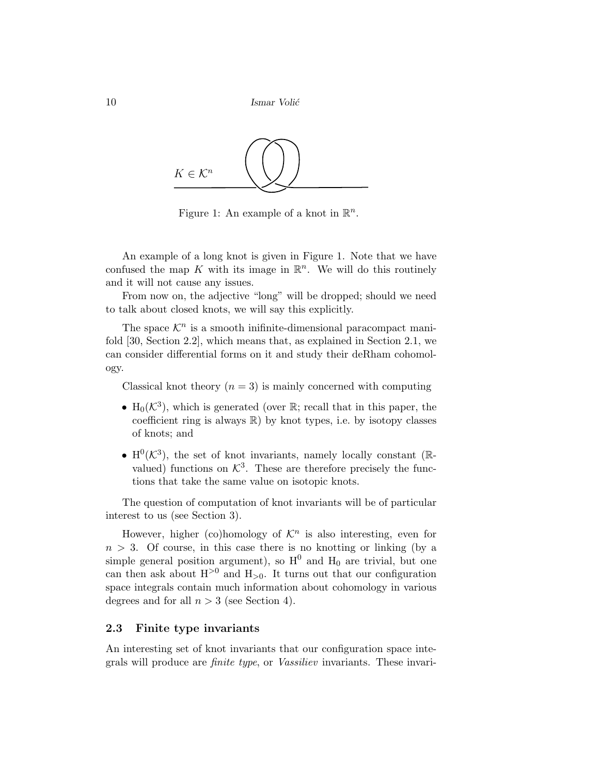```
10 Ismar Volić
```


Figure 1: An example of a knot in  $\mathbb{R}^n$ .

An example of a long knot is given in Figure 1. Note that we have confused the map K with its image in  $\mathbb{R}^n$ . We will do this routinely and it will not cause any issues.

From now on, the adjective "long" will be dropped; should we need to talk about closed knots, we will say this explicitly.

The space  $\mathcal{K}^n$  is a smooth inifinite-dimensional paracompact manifold [30, Section 2.2], which means that, as explained in Section 2.1, we can consider differential forms on it and study their deRham cohomology.

Classical knot theory  $(n = 3)$  is mainly concerned with computing

- H<sub>0</sub> $(\mathcal{K}^3)$ , which is generated (over R; recall that in this paper, the coefficient ring is always  $\mathbb{R}$ ) by knot types, i.e. by isotopy classes of knots; and
- $H^0(\mathcal{K}^3)$ , the set of knot invariants, namely locally constant ( $\mathbb{R}$ valued) functions on  $K^3$ . These are therefore precisely the functions that take the same value on isotopic knots.

The question of computation of knot invariants will be of particular interest to us (see Section 3).

However, higher (co)homology of  $\mathcal{K}^n$  is also interesting, even for  $n > 3$ . Of course, in this case there is no knotting or linking (by a simple general position argument), so  $H^0$  and  $H_0$  are trivial, but one can then ask about  $H^{>0}$  and  $H_{>0}$ . It turns out that our configuration space integrals contain much information about cohomology in various degrees and for all  $n > 3$  (see Section 4).

### 2.3 Finite type invariants

An interesting set of knot invariants that our configuration space integrals will produce are finite type, or Vassiliev invariants. These invari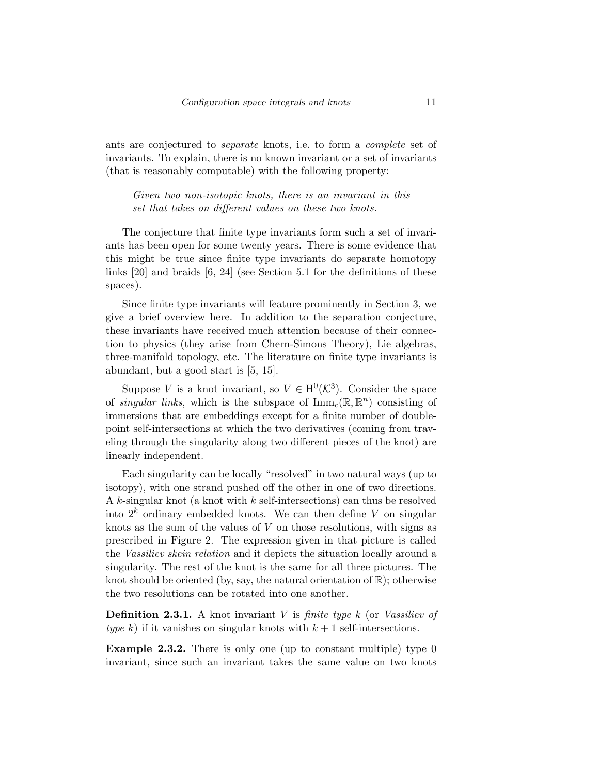ants are conjectured to separate knots, i.e. to form a complete set of invariants. To explain, there is no known invariant or a set of invariants (that is reasonably computable) with the following property:

Given two non-isotopic knots, there is an invariant in this set that takes on different values on these two knots.

The conjecture that finite type invariants form such a set of invariants has been open for some twenty years. There is some evidence that this might be true since finite type invariants do separate homotopy links [20] and braids [6, 24] (see Section 5.1 for the definitions of these spaces).

Since finite type invariants will feature prominently in Section 3, we give a brief overview here. In addition to the separation conjecture, these invariants have received much attention because of their connection to physics (they arise from Chern-Simons Theory), Lie algebras, three-manifold topology, etc. The literature on finite type invariants is abundant, but a good start is [5, 15].

Suppose V is a knot invariant, so  $V \in H^0(\mathcal{K}^3)$ . Consider the space of *singular links*, which is the subspace of  $\text{Imm}_c(\mathbb{R}, \mathbb{R}^n)$  consisting of immersions that are embeddings except for a finite number of doublepoint self-intersections at which the two derivatives (coming from traveling through the singularity along two different pieces of the knot) are linearly independent.

Each singularity can be locally "resolved" in two natural ways (up to isotopy), with one strand pushed off the other in one of two directions. A k-singular knot (a knot with  $k$  self-intersections) can thus be resolved into  $2^k$  ordinary embedded knots. We can then define V on singular knots as the sum of the values of  $V$  on those resolutions, with signs as prescribed in Figure 2. The expression given in that picture is called the Vassiliev skein relation and it depicts the situation locally around a singularity. The rest of the knot is the same for all three pictures. The knot should be oriented (by, say, the natural orientation of  $\mathbb{R}$ ); otherwise the two resolutions can be rotated into one another.

**Definition 2.3.1.** A knot invariant V is *finite type k* (or *Vassiliev of* type k) if it vanishes on singular knots with  $k+1$  self-intersections.

Example 2.3.2. There is only one (up to constant multiple) type 0 invariant, since such an invariant takes the same value on two knots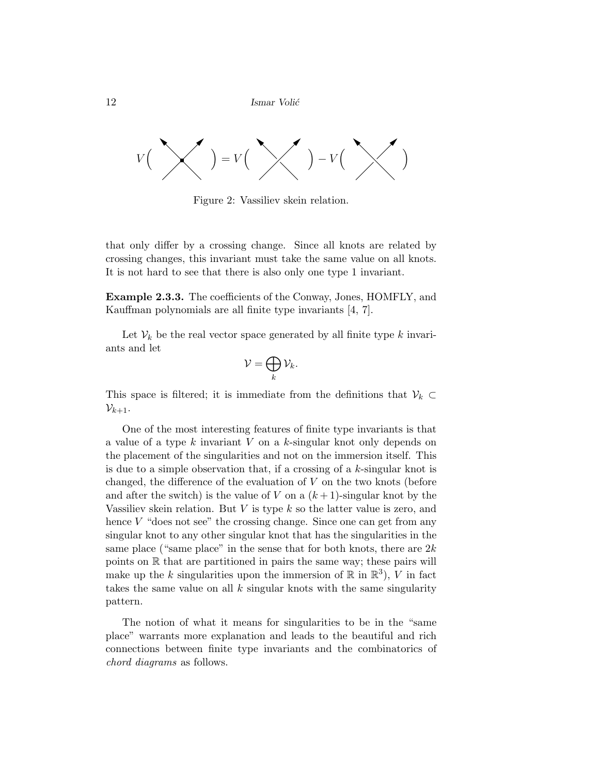

Figure 2: Vassiliev skein relation.

that only differ by a crossing change. Since all knots are related by crossing changes, this invariant must take the same value on all knots. It is not hard to see that there is also only one type 1 invariant.

Example 2.3.3. The coefficients of the Conway, Jones, HOMFLY, and Kauffman polynomials are all finite type invariants [4, 7].

Let  $\mathcal{V}_k$  be the real vector space generated by all finite type k invariants and let

$$
\mathcal{V}=\bigoplus_k \mathcal{V}_k.
$$

This space is filtered; it is immediate from the definitions that  $\mathcal{V}_k \subset$  $\mathcal{V}_{k+1}$ .

One of the most interesting features of finite type invariants is that a value of a type k invariant V on a k-singular knot only depends on the placement of the singularities and not on the immersion itself. This is due to a simple observation that, if a crossing of a  $k$ -singular knot is changed, the difference of the evaluation of  $V$  on the two knots (before and after the switch) is the value of V on a  $(k+1)$ -singular knot by the Vassiliev skein relation. But V is type  $k$  so the latter value is zero, and hence  $V$  "does not see" the crossing change. Since one can get from any singular knot to any other singular knot that has the singularities in the same place ("same place" in the sense that for both knots, there are  $2k$ points on R that are partitioned in pairs the same way; these pairs will make up the k singularities upon the immersion of  $\mathbb R$  in  $\mathbb R^3$ ), V in fact takes the same value on all  $k$  singular knots with the same singularity pattern.

The notion of what it means for singularities to be in the "same place" warrants more explanation and leads to the beautiful and rich connections between finite type invariants and the combinatorics of chord diagrams as follows.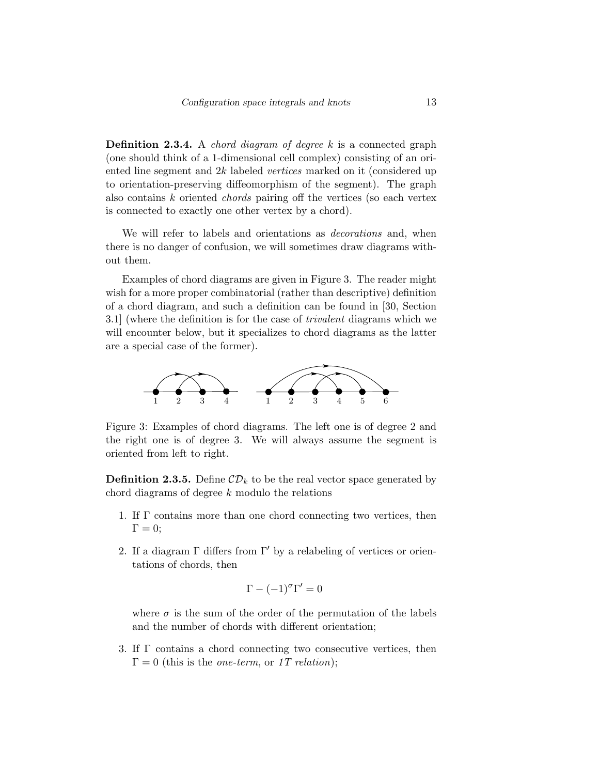**Definition 2.3.4.** A *chord diagram of degree*  $k$  is a connected graph (one should think of a 1-dimensional cell complex) consisting of an oriented line segment and 2k labeled vertices marked on it (considered up to orientation-preserving diffeomorphism of the segment). The graph also contains k oriented chords pairing off the vertices (so each vertex is connected to exactly one other vertex by a chord).

We will refer to labels and orientations as *decorations* and, when there is no danger of confusion, we will sometimes draw diagrams without them.

Examples of chord diagrams are given in Figure 3. The reader might wish for a more proper combinatorial (rather than descriptive) definition of a chord diagram, and such a definition can be found in [30, Section 3.1] (where the definition is for the case of trivalent diagrams which we will encounter below, but it specializes to chord diagrams as the latter are a special case of the former).



Figure 3: Examples of chord diagrams. The left one is of degree 2 and the right one is of degree 3. We will always assume the segment is oriented from left to right.

**Definition 2.3.5.** Define  $CD_k$  to be the real vector space generated by chord diagrams of degree k modulo the relations

- 1. If Γ contains more than one chord connecting two vertices, then  $\Gamma = 0;$
- 2. If a diagram  $\Gamma$  differs from  $\Gamma'$  by a relabeling of vertices or orientations of chords, then

$$
\Gamma - (-1)^{\sigma} \Gamma' = 0
$$

where  $\sigma$  is the sum of the order of the permutation of the labels and the number of chords with different orientation;

3. If Γ contains a chord connecting two consecutive vertices, then  $\Gamma = 0$  (this is the *one-term*, or 1T relation);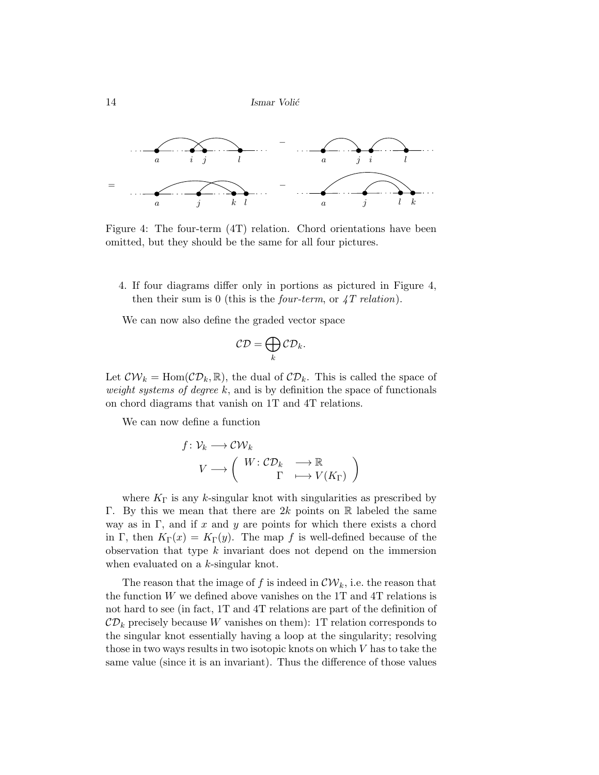

Figure 4: The four-term (4T) relation. Chord orientations have been omitted, but they should be the same for all four pictures.

4. If four diagrams differ only in portions as pictured in Figure 4, then their sum is 0 (this is the *four-term*, or  $\angle T$  *relation*).

We can now also define the graded vector space

$$
\mathcal{CD} = \bigoplus_k \mathcal{CD}_k.
$$

Let  $\mathcal{CW}_k = \text{Hom}(\mathcal{CD}_k, \mathbb{R})$ , the dual of  $\mathcal{CD}_k$ . This is called the space of weight systems of degree  $k$ , and is by definition the space of functionals on chord diagrams that vanish on 1T and 4T relations.

We can now define a function

$$
f: \mathcal{V}_k \longrightarrow \mathcal{CW}_k
$$
  

$$
V \longrightarrow \left( \begin{array}{ccc} W: \mathcal{CD}_k & \longrightarrow \mathbb{R} \\ & \Gamma & \longmapsto V(K_{\Gamma}) \end{array} \right)
$$

where  $K_{\Gamma}$  is any k-singular knot with singularities as prescribed by Γ. By this we mean that there are 2k points on R labeled the same way as in Γ, and if x and y are points for which there exists a chord in Γ, then  $K_{\Gamma}(x) = K_{\Gamma}(y)$ . The map f is well-defined because of the observation that type k invariant does not depend on the immersion when evaluated on a k-singular knot.

The reason that the image of f is indeed in  $\mathcal{CW}_k$ , i.e. the reason that the function  $W$  we defined above vanishes on the 1T and 4T relations is not hard to see (in fact, 1T and 4T relations are part of the definition of  $CD_k$  precisely because W vanishes on them): 1T relation corresponds to the singular knot essentially having a loop at the singularity; resolving those in two ways results in two isotopic knots on which V has to take the same value (since it is an invariant). Thus the difference of those values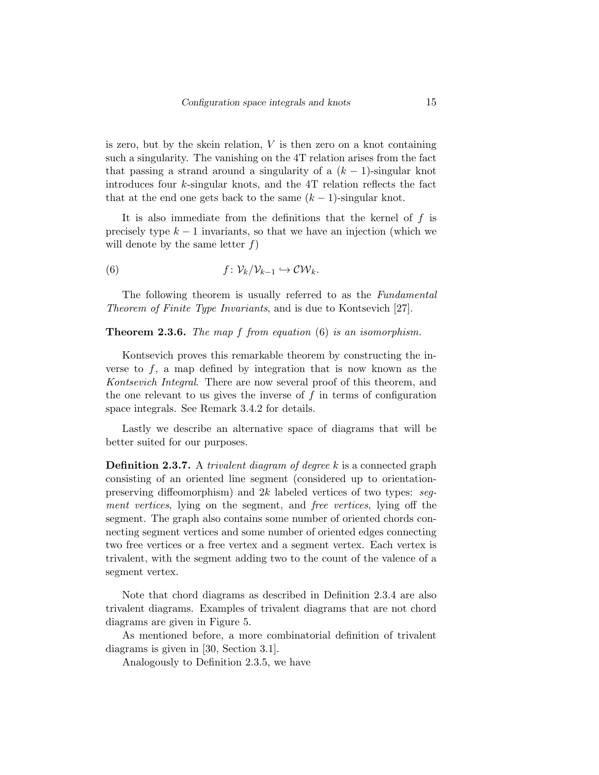is zero, but by the skein relation,  $V$  is then zero on a knot containing such a singularity. The vanishing on the 4T relation arises from the fact that passing a strand around a singularity of a  $(k-1)$ -singular knot introduces four k-singular knots, and the 4T relation reflects the fact that at the end one gets back to the same  $(k-1)$ -singular knot.

It is also immediate from the definitions that the kernel of  $f$  is precisely type  $k-1$  invariants, so that we have an injection (which we will denote by the same letter  $f$ )

(6) 
$$
f: \mathcal{V}_k/\mathcal{V}_{k-1} \hookrightarrow \mathcal{CW}_k.
$$

The following theorem is usually referred to as the Fundamental Theorem of Finite Type Invariants, and is due to Kontsevich [27].

#### **Theorem 2.3.6.** The map  $f$  from equation  $(6)$  is an isomorphism.

Kontsevich proves this remarkable theorem by constructing the inverse to  $f$ , a map defined by integration that is now known as the Kontsevich Integral. There are now several proof of this theorem, and the one relevant to us gives the inverse of  $f$  in terms of configuration space integrals. See Remark 3.4.2 for details.

Lastly we describe an alternative space of diagrams that will be better suited for our purposes.

**Definition 2.3.7.** A *trivalent diagram of degree*  $k$  is a connected graph consisting of an oriented line segment (considered up to orientationpreserving diffeomorphism) and 2k labeled vertices of two types: segment vertices, lying on the segment, and free vertices, lying off the segment. The graph also contains some number of oriented chords connecting segment vertices and some number of oriented edges connecting two free vertices or a free vertex and a segment vertex. Each vertex is trivalent, with the segment adding two to the count of the valence of a segment vertex.

Note that chord diagrams as described in Definition 2.3.4 are also trivalent diagrams. Examples of trivalent diagrams that are not chord diagrams are given in Figure 5.

As mentioned before, a more combinatorial definition of trivalent diagrams is given in [30, Section 3.1].

Analogously to Definition 2.3.5, we have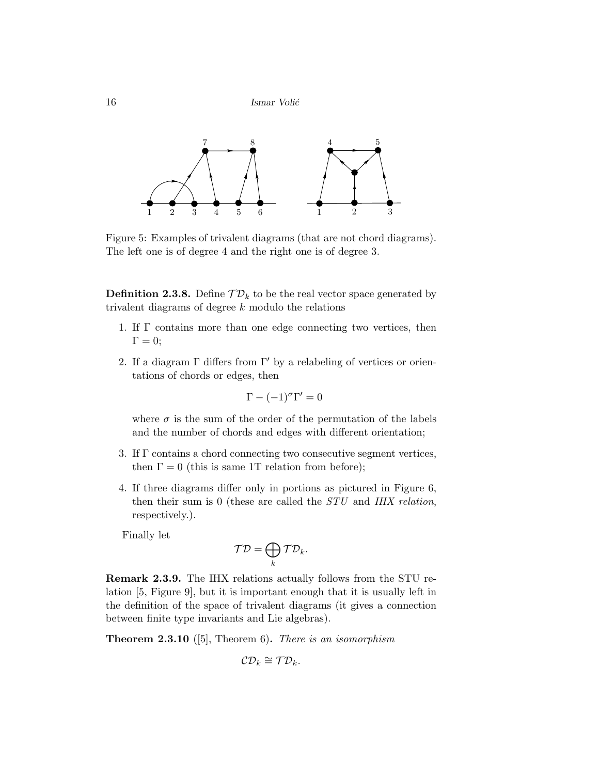

Figure 5: Examples of trivalent diagrams (that are not chord diagrams). The left one is of degree 4 and the right one is of degree 3.

**Definition 2.3.8.** Define  $\mathcal{TD}_k$  to be the real vector space generated by trivalent diagrams of degree k modulo the relations

- 1. If Γ contains more than one edge connecting two vertices, then  $\Gamma = 0$ :
- 2. If a diagram  $\Gamma$  differs from  $\Gamma'$  by a relabeling of vertices or orientations of chords or edges, then

$$
\Gamma - (-1)^{\sigma} \Gamma' = 0
$$

where  $\sigma$  is the sum of the order of the permutation of the labels and the number of chords and edges with different orientation;

- 3. If Γ contains a chord connecting two consecutive segment vertices, then  $\Gamma = 0$  (this is same 1T relation from before);
- 4. If three diagrams differ only in portions as pictured in Figure 6, then their sum is 0 (these are called the STU and IHX relation, respectively.).

Finally let

$$
\mathcal{T}\mathcal{D} = \bigoplus_k \mathcal{T}\mathcal{D}_k.
$$

Remark 2.3.9. The IHX relations actually follows from the STU relation [5, Figure 9], but it is important enough that it is usually left in the definition of the space of trivalent diagrams (it gives a connection between finite type invariants and Lie algebras).

**Theorem 2.3.10** ([5], Theorem 6). There is an isomorphism

$$
\mathcal{CD}_k \cong \mathcal{TD}_k.
$$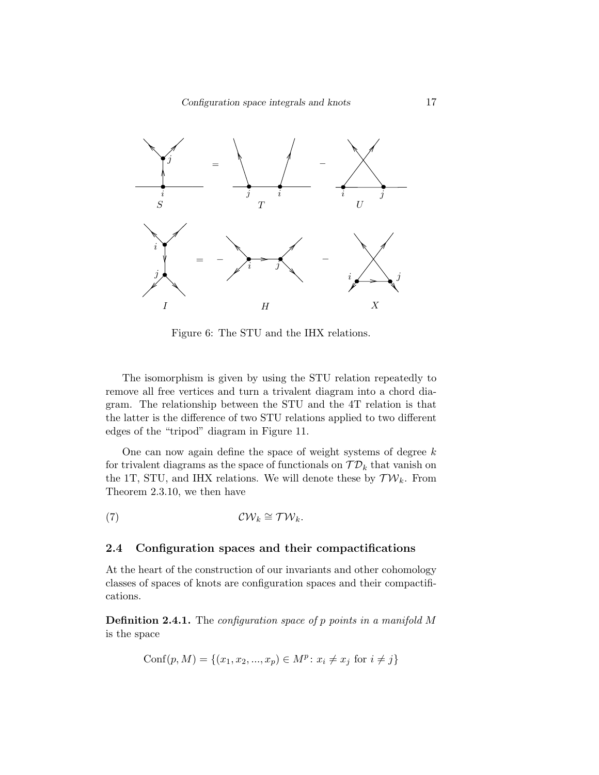Configuration space integrals and knots 17



Figure 6: The STU and the IHX relations.

The isomorphism is given by using the STU relation repeatedly to remove all free vertices and turn a trivalent diagram into a chord diagram. The relationship between the STU and the 4T relation is that the latter is the difference of two STU relations applied to two different edges of the "tripod" diagram in Figure 11.

One can now again define the space of weight systems of degree  $k$ for trivalent diagrams as the space of functionals on  $\mathcal{TD}_k$  that vanish on the 1T, STU, and IHX relations. We will denote these by  $\mathcal{TW}_k$ . From Theorem 2.3.10, we then have

$$
(7) \t\t\t\t\t\mathcal{CW}_k \cong \mathcal{TW}_k.
$$

### 2.4 Configuration spaces and their compactifications

At the heart of the construction of our invariants and other cohomology classes of spaces of knots are configuration spaces and their compactifications.

**Definition 2.4.1.** The configuration space of p points in a manifold M is the space

Conf
$$
(p, M)
$$
 = { $(x_1, x_2, ..., x_p)$   $\in M^p$ :  $x_i \neq x_j$  for  $i \neq j$ }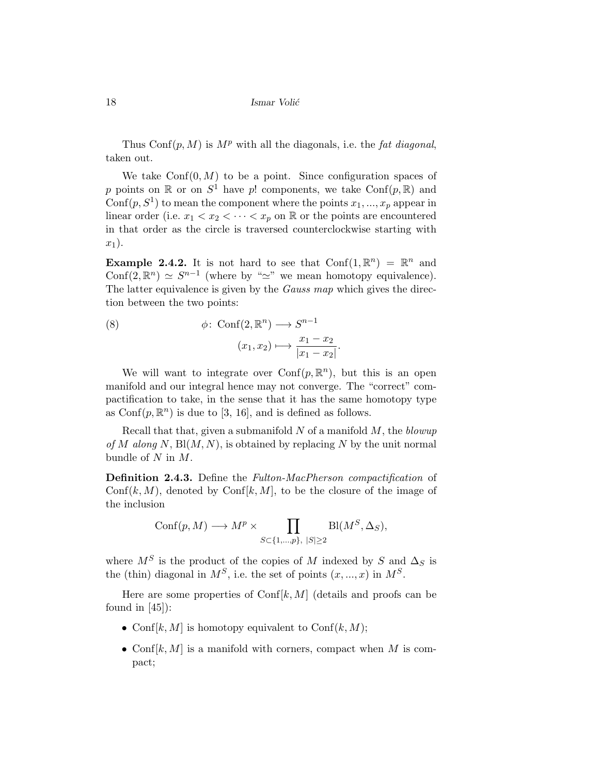Thus  $Conf(p, M)$  is  $M^p$  with all the diagonals, i.e. the fat diagonal, taken out.

We take  $Conf(0, M)$  to be a point. Since configuration spaces of p points on  $\mathbb R$  or on  $S^1$  have p! components, we take  $Conf(p, \mathbb R)$  and  $\text{Conf}(p, S^1)$  to mean the component where the points  $x_1, ..., x_p$  appear in linear order (i.e.  $x_1 < x_2 < \cdots < x_p$  on R or the points are encountered in that order as the circle is traversed counterclockwise starting with  $x_1$ ).

**Example 2.4.2.** It is not hard to see that  $Conf(1, \mathbb{R}^n) = \mathbb{R}^n$  and Conf $(2, \mathbb{R}^n) \simeq S^{n-1}$  (where by " $\simeq$ " we mean homotopy equivalence). The latter equivalence is given by the *Gauss map* which gives the direction between the two points:

(8) 
$$
\phi: \operatorname{Conf}(2, \mathbb{R}^n) \longrightarrow S^{n-1}
$$

$$
(x_1, x_2) \longmapsto \frac{x_1 - x_2}{|x_1 - x_2|}.
$$

We will want to integrate over  $Conf(p, \mathbb{R}^n)$ , but this is an open manifold and our integral hence may not converge. The "correct" compactification to take, in the sense that it has the same homotopy type as  $\text{Conf}(p, \mathbb{R}^n)$  is due to [3, 16], and is defined as follows.

Recall that that, given a submanifold N of a manifold  $M$ , the blowup of M along N,  $Bl(M, N)$ , is obtained by replacing N by the unit normal bundle of  $N$  in  $M$ .

Definition 2.4.3. Define the Fulton-MacPherson compactification of  $\text{Conf}(k, M)$ , denoted by  $\text{Conf}(k, M)$ , to be the closure of the image of the inclusion

$$
Conf(p, M) \longrightarrow M^p \times \prod_{S \subset \{1, \dots, p\}, |S| \ge 2} Bl(M^S, \Delta_S),
$$

where  $M^S$  is the product of the copies of M indexed by S and  $\Delta_S$  is the (thin) diagonal in  $M^S$ , i.e. the set of points  $(x, ..., x)$  in  $M^S$ .

Here are some properties of Conf $[k, M]$  (details and proofs can be found in  $[45]$ :

- Conf $[k, M]$  is homotopy equivalent to  $\text{Conf}(k, M)$ ;
- Conf $[k, M]$  is a manifold with corners, compact when M is compact;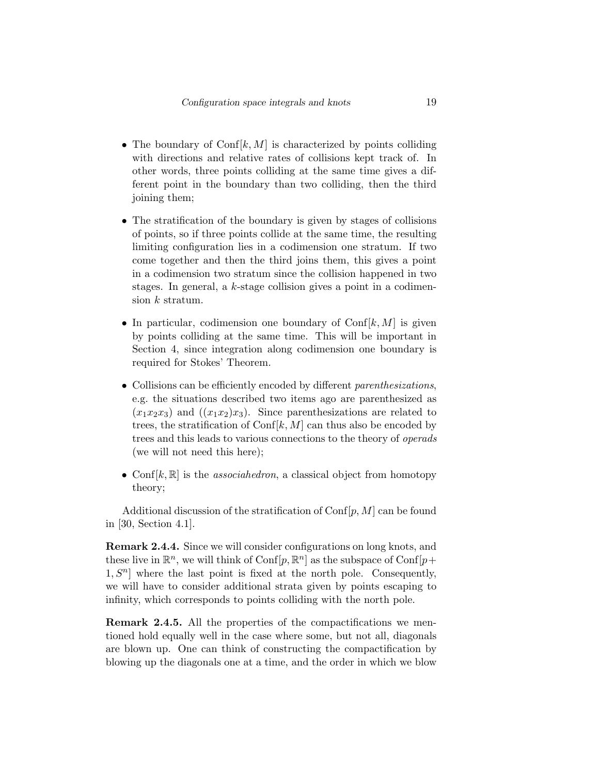- The boundary of  $\text{Conf}[k, M]$  is characterized by points colliding with directions and relative rates of collisions kept track of. In other words, three points colliding at the same time gives a different point in the boundary than two colliding, then the third joining them;
- The stratification of the boundary is given by stages of collisions of points, so if three points collide at the same time, the resulting limiting configuration lies in a codimension one stratum. If two come together and then the third joins them, this gives a point in a codimension two stratum since the collision happened in two stages. In general, a k-stage collision gives a point in a codimension  $k$  stratum.
- In particular, codimension one boundary of  $\text{Conf}[k, M]$  is given by points colliding at the same time. This will be important in Section 4, since integration along codimension one boundary is required for Stokes' Theorem.
- Collisions can be efficiently encoded by different parenthesizations, e.g. the situations described two items ago are parenthesized as  $(x_1x_2x_3)$  and  $((x_1x_2)x_3)$ . Since parenthesizations are related to trees, the stratification of Conf $[k, M]$  can thus also be encoded by trees and this leads to various connections to the theory of operads (we will not need this here);
- Conf $[k, \mathbb{R}]$  is the *associahedron*, a classical object from homotopy theory;

Additional discussion of the stratification of  $\text{Conf}[p, M]$  can be found in [30, Section 4.1].

Remark 2.4.4. Since we will consider configurations on long knots, and these live in  $\mathbb{R}^n$ , we will think of  $\text{Conf}[p, \mathbb{R}^n]$  as the subspace of  $\text{Conf}[p + \mathbb{R}^n]$  $1, S<sup>n</sup>$  where the last point is fixed at the north pole. Consequently, we will have to consider additional strata given by points escaping to infinity, which corresponds to points colliding with the north pole.

Remark 2.4.5. All the properties of the compactifications we mentioned hold equally well in the case where some, but not all, diagonals are blown up. One can think of constructing the compactification by blowing up the diagonals one at a time, and the order in which we blow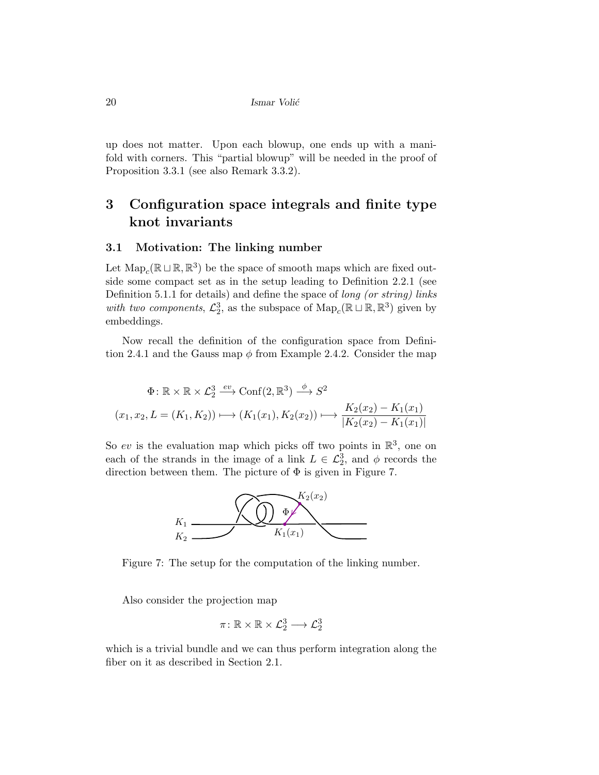up does not matter. Upon each blowup, one ends up with a manifold with corners. This "partial blowup" will be needed in the proof of Proposition 3.3.1 (see also Remark 3.3.2).

# 3 Configuration space integrals and finite type knot invariants

### 3.1 Motivation: The linking number

Let  $\mathrm{Map}_c(\mathbb{R} \sqcup \mathbb{R}, \mathbb{R}^3)$  be the space of smooth maps which are fixed outside some compact set as in the setup leading to Definition 2.2.1 (see Definition 5.1.1 for details) and define the space of *long (or string) links* with two components,  $\mathcal{L}_2^3$ , as the subspace of  $\text{Map}_c(\mathbb{R} \sqcup \mathbb{R}, \mathbb{R}^3)$  given by embeddings.

Now recall the definition of the configuration space from Definition 2.4.1 and the Gauss map  $\phi$  from Example 2.4.2. Consider the map

$$
\Phi: \mathbb{R} \times \mathbb{R} \times \mathcal{L}_2^3 \xrightarrow{ev} \text{Conf}(2, \mathbb{R}^3) \xrightarrow{\phi} S^2
$$

$$
(x_1, x_2, L = (K_1, K_2)) \mapsto (K_1(x_1), K_2(x_2)) \mapsto \frac{K_2(x_2) - K_1(x_1)}{|K_2(x_2) - K_1(x_1)|}
$$

So ev is the evaluation map which picks off two points in  $\mathbb{R}^3$ , one on each of the strands in the image of a link  $L \in \mathcal{L}_2^3$ , and  $\phi$  records the direction between them. The picture of  $\Phi$  is given in Figure 7.



Figure 7: The setup for the computation of the linking number.

Also consider the projection map

$$
\pi\colon \mathbb{R}\times \mathbb{R}\times \mathcal{L}_2^3 \longrightarrow \mathcal{L}_2^3
$$

which is a trivial bundle and we can thus perform integration along the fiber on it as described in Section 2.1.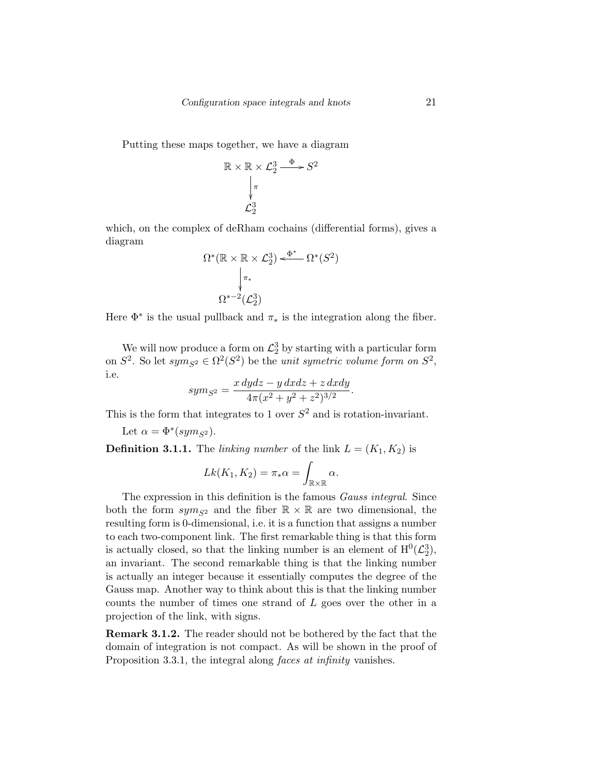Putting these maps together, we have a diagram

$$
\mathbb{R} \times \mathbb{R} \times \mathcal{L}_2^3 \xrightarrow{\Phi} S^2
$$
\n
$$
\downarrow^{\pi}
$$
\n
$$
\mathcal{L}_2^3
$$

which, on the complex of deRham cochains (differential forms), gives a diagram

$$
\Omega^*(\mathbb{R} \times \mathbb{R} \times \mathcal{L}_2^3) \xleftarrow{\Phi^*} \Omega^*(S^2)
$$

$$
\downarrow_{\pi_*}
$$

$$
\Omega^{*-2}(\mathcal{L}_2^3)
$$

Here  $\Phi^*$  is the usual pullback and  $\pi_*$  is the integration along the fiber.

We will now produce a form on  $\mathcal{L}_2^3$  by starting with a particular form on  $S^2$ . So let  $sym_{S^2} \in \Omega^2(S^2)$  be the *unit symetric volume form on*  $S^2$ , i.e.

$$
sym_{S^2} = \frac{x \, dydz - y \, dxdz + z \, dxdy}{4\pi (x^2 + y^2 + z^2)^{3/2}}
$$

.

This is the form that integrates to 1 over  $S^2$  and is rotation-invariant.

Let 
$$
\alpha = \Phi^*(sym_{S^2})
$$
.

**Definition 3.1.1.** The linking number of the link  $L = (K_1, K_2)$  is

$$
Lk(K_1, K_2) = \pi_*\alpha = \int_{\mathbb{R} \times \mathbb{R}} \alpha.
$$

The expression in this definition is the famous *Gauss integral*. Since both the form  $sym_{S^2}$  and the fiber  $\mathbb{R} \times \mathbb{R}$  are two dimensional, the resulting form is 0-dimensional, i.e. it is a function that assigns a number to each two-component link. The first remarkable thing is that this form is actually closed, so that the linking number is an element of  $H^0(\mathcal{L}_2^3)$ , an invariant. The second remarkable thing is that the linking number is actually an integer because it essentially computes the degree of the Gauss map. Another way to think about this is that the linking number counts the number of times one strand of L goes over the other in a projection of the link, with signs.

Remark 3.1.2. The reader should not be bothered by the fact that the domain of integration is not compact. As will be shown in the proof of Proposition 3.3.1, the integral along faces at infinity vanishes.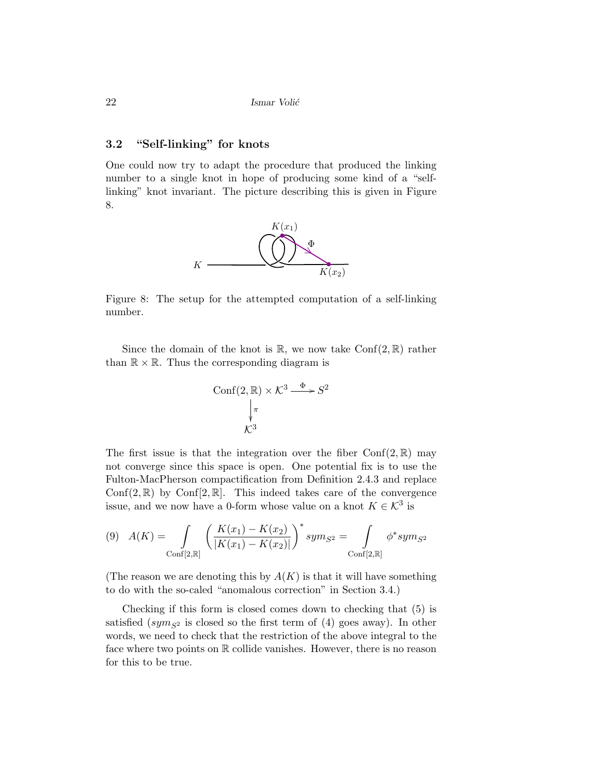### 3.2 "Self-linking" for knots

One could now try to adapt the procedure that produced the linking number to a single knot in hope of producing some kind of a "selflinking" knot invariant. The picture describing this is given in Figure 8.



Figure 8: The setup for the attempted computation of a self-linking number.

Since the domain of the knot is  $\mathbb{R}$ , we now take Conf(2,  $\mathbb{R}$ ) rather than  $\mathbb{R} \times \mathbb{R}$ . Thus the corresponding diagram is

$$
\text{Conf}(2, \mathbb{R}) \times \mathcal{K}^3 \xrightarrow{\Phi} S^2
$$
\n
$$
\downarrow_{\pi} \qquad \qquad \mathcal{K}^3
$$
\n
$$
\mathcal{K}^3
$$

The first issue is that the integration over the fiber  $Conf(2,\mathbb{R})$  may not converge since this space is open. One potential fix is to use the Fulton-MacPherson compactification from Definition 2.4.3 and replace Conf(2,  $\mathbb{R}$ ) by Conf[2,  $\mathbb{R}$ ]. This indeed takes care of the convergence issue, and we now have a 0-form whose value on a knot  $K \in \mathcal{K}^3$  is

$$
(9) \quad A(K) = \int_{\text{Conf}[2,\mathbb{R}]} \left( \frac{K(x_1) - K(x_2)}{|K(x_1) - K(x_2)|} \right)^* sym_{S^2} = \int_{\text{Conf}[2,\mathbb{R}]} \phi^* sym_{S^2}
$$

(The reason we are denoting this by  $A(K)$  is that it will have something to do with the so-caled "anomalous correction" in Section 3.4.)

Checking if this form is closed comes down to checking that (5) is satisfied (sym<sub>S2</sub> is closed so the first term of (4) goes away). In other words, we need to check that the restriction of the above integral to the face where two points on  $\mathbb R$  collide vanishes. However, there is no reason for this to be true.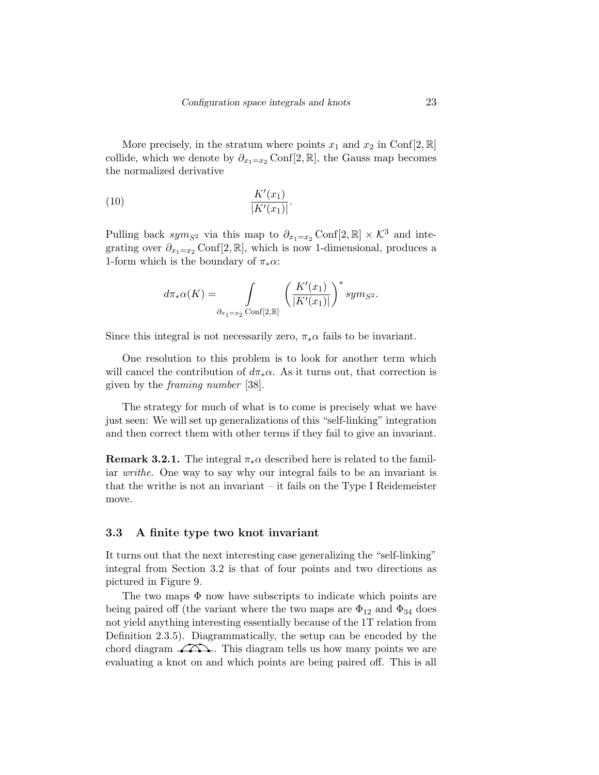More precisely, in the stratum where points  $x_1$  and  $x_2$  in Conf[2, R] collide, which we denote by  $\partial_{x_1=x_2}$  Conf[2, R], the Gauss map becomes the normalized derivative

(10) 
$$
\frac{K'(x_1)}{|K'(x_1)|}.
$$

Pulling back sym<sub>S2</sub> via this map to  $\partial_{x_1=x_2}$  Conf[2, R] × K<sup>3</sup> and integrating over  $\partial_{x_1=x_2}$  Conf[2, R], which is now 1-dimensional, produces a 1-form which is the boundary of  $\pi_* \alpha$ :

$$
d\pi_*\alpha(K)=\int\limits_{\partial_{x_1=x_2}\mathrm{Conf}[2,\mathbb{R}]} \left(\frac{K'(x_1)}{|K'(x_1)|}\right)^*sym_{S^2}.
$$

Since this integral is not necessarily zero,  $\pi_* \alpha$  fails to be invariant.

One resolution to this problem is to look for another term which will cancel the contribution of  $d\pi_*\alpha$ . As it turns out, that correction is given by the framing number [38].

The strategy for much of what is to come is precisely what we have just seen: We will set up generalizations of this "self-linking" integration and then correct them with other terms if they fail to give an invariant.

**Remark 3.2.1.** The integral  $\pi_* \alpha$  described here is related to the familiar writhe. One way to say why our integral fails to be an invariant is that the writhe is not an invariant – it fails on the Type I Reidemeister move.

### 3.3 A finite type two knot invariant

It turns out that the next interesting case generalizing the "self-linking" integral from Section 3.2 is that of four points and two directions as pictured in Figure 9.

The two maps  $\Phi$  now have subscripts to indicate which points are being paired off (the variant where the two maps are  $\Phi_{12}$  and  $\Phi_{34}$  does not yield anything interesting essentially because of the 1T relation from Definition 2.3.5). Diagrammatically, the setup can be encoded by the chord diagram  $\widehat{\longrightarrow}$ . This diagram tells us how many points we are evaluating a knot on and which points are being paired off. This is all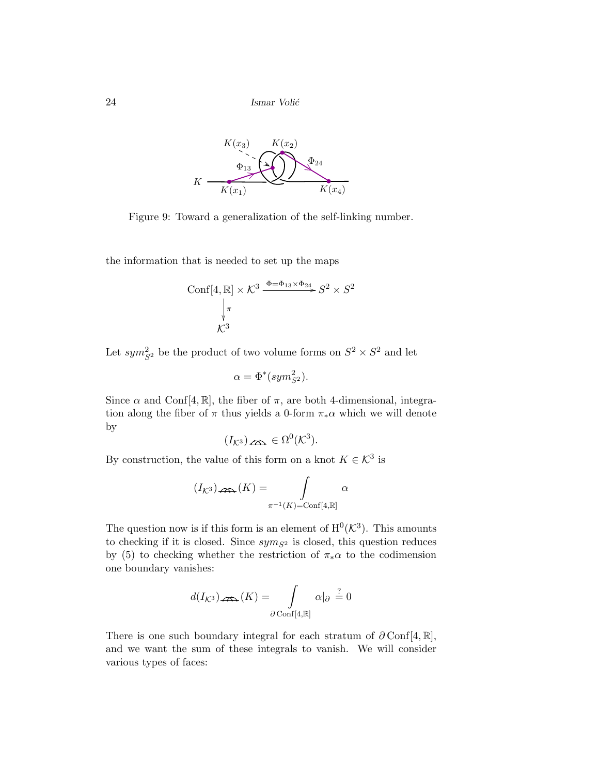

Figure 9: Toward a generalization of the self-linking number.

the information that is needed to set up the maps

$$
\text{Conf}[4, \mathbb{R}] \times \mathcal{K}^3 \xrightarrow{\Phi = \Phi_{13} \times \Phi_{24}} S^2 \times S^2
$$
\n
$$
\downarrow^{\pi}
$$
\n
$$
\mathcal{K}^3
$$

Let  $sym_{S^2}^2$  be the product of two volume forms on  $S^2 \times S^2$  and let

$$
\alpha = \Phi^*(sym_{S^2}^2).
$$

Since  $\alpha$  and Conf[4, R], the fiber of  $\pi$ , are both 4-dimensional, integration along the fiber of  $\pi$  thus yields a 0-form  $\pi_*\alpha$  which we will denote by

(IK<sup>3</sup> ) ∈ Ω 0 (K 3 ).

By construction, the value of this form on a knot  $K \in \mathcal{K}^3$  is

$$
(I_{K^3})_{\nleftrightarrow K}(K) = \int_{\pi^{-1}(K) = \text{Conf}[4,\mathbb{R}]} \alpha
$$

The question now is if this form is an element of  $H^0(\mathcal{K}^3)$ . This amounts to checking if it is closed. Since  $sym_{S^2}$  is closed, this question reduces by (5) to checking whether the restriction of  $\pi_*\alpha$  to the codimension one boundary vanishes:

$$
d(I_{\mathcal{K}^3})\log(K) = \int_{\partial \text{Conf}[4,\mathbb{R}]} \alpha|_{\partial} \stackrel{?}{=} 0
$$

There is one such boundary integral for each stratum of  $\partial \text{Conf}[4, \mathbb{R}]$ , and we want the sum of these integrals to vanish. We will consider various types of faces: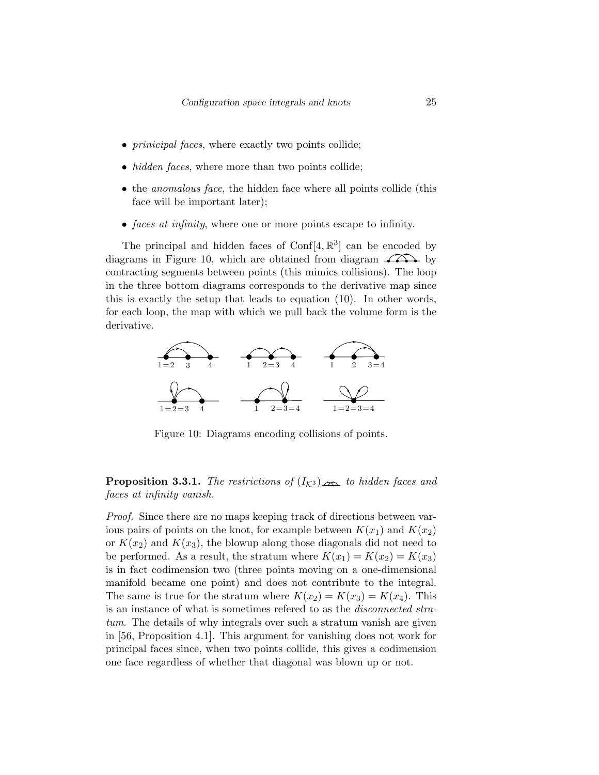- *prinicipal faces*, where exactly two points collide;
- *hidden faces*, where more than two points collide;
- the *anomalous face*, the hidden face where all points collide (this face will be important later);
- faces at infinity, where one or more points escape to infinity.

The principal and hidden faces of  $\text{Conf}[4, \mathbb{R}^3]$  can be encoded by diagrams in Figure 10, which are obtained from diagram  $\overrightarrow{;}$  by contracting segments between points (this mimics collisions). The loop in the three bottom diagrams corresponds to the derivative map since this is exactly the setup that leads to equation (10). In other words, for each loop, the map with which we pull back the volume form is the derivative.



Figure 10: Diagrams encoding collisions of points.

**Proposition 3.3.1.** The restrictions of  $(I_{K3})$  and to hidden faces and faces at infinity vanish.

Proof. Since there are no maps keeping track of directions between various pairs of points on the knot, for example between  $K(x_1)$  and  $K(x_2)$ or  $K(x_2)$  and  $K(x_3)$ , the blowup along those diagonals did not need to be performed. As a result, the stratum where  $K(x_1) = K(x_2) = K(x_3)$ is in fact codimension two (three points moving on a one-dimensional manifold became one point) and does not contribute to the integral. The same is true for the stratum where  $K(x_2) = K(x_3) = K(x_4)$ . This is an instance of what is sometimes refered to as the disconnected stratum. The details of why integrals over such a stratum vanish are given in [56, Proposition 4.1]. This argument for vanishing does not work for principal faces since, when two points collide, this gives a codimension one face regardless of whether that diagonal was blown up or not.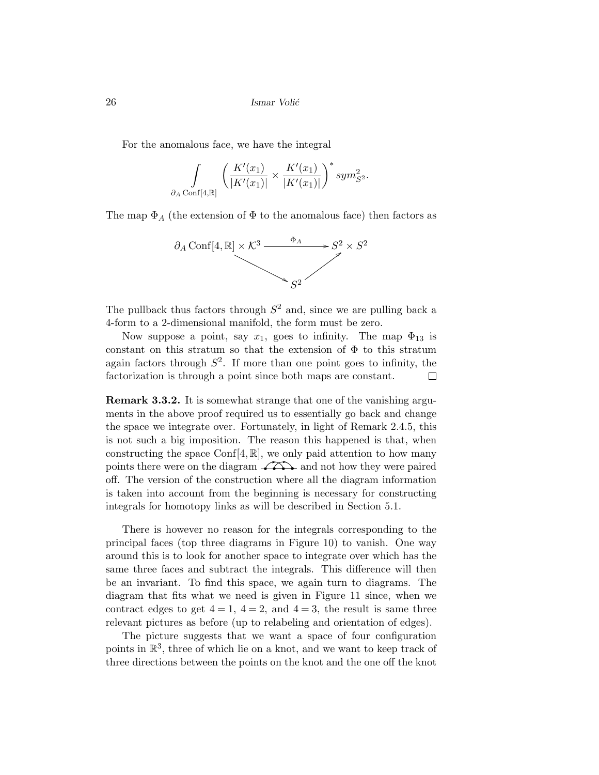For the anomalous face, we have the integral

$$
\int_{\partial_A \text{Conf}[4,\mathbb{R}]} \left( \frac{K'(x_1)}{|K'(x_1)|} \times \frac{K'(x_1)}{|K'(x_1)|} \right)^* sym_{S^2}^2.
$$

The map  $\Phi_A$  (the extension of  $\Phi$  to the anomalous face) then factors as



The pullback thus factors through  $S<sup>2</sup>$  and, since we are pulling back a 4-form to a 2-dimensional manifold, the form must be zero.

Now suppose a point, say  $x_1$ , goes to infinity. The map  $\Phi_{13}$  is constant on this stratum so that the extension of  $\Phi$  to this stratum again factors through  $S^2$ . If more than one point goes to infinity, the factorization is through a point since both maps are constant.  $\Box$ 

Remark 3.3.2. It is somewhat strange that one of the vanishing arguments in the above proof required us to essentially go back and change the space we integrate over. Fortunately, in light of Remark 2.4.5, this is not such a big imposition. The reason this happened is that, when constructing the space Conf $[4, \mathbb{R}]$ , we only paid attention to how many points there were on the diagram  $\widehat{\longrightarrow}$  and not how they were paired off. The version of the construction where all the diagram information is taken into account from the beginning is necessary for constructing integrals for homotopy links as will be described in Section 5.1.

There is however no reason for the integrals corresponding to the principal faces (top three diagrams in Figure 10) to vanish. One way around this is to look for another space to integrate over which has the same three faces and subtract the integrals. This difference will then be an invariant. To find this space, we again turn to diagrams. The diagram that fits what we need is given in Figure 11 since, when we contract edges to get  $4 = 1$ ,  $4 = 2$ , and  $4 = 3$ , the result is same three relevant pictures as before (up to relabeling and orientation of edges).

The picture suggests that we want a space of four configuration points in  $\mathbb{R}^3$ , three of which lie on a knot, and we want to keep track of three directions between the points on the knot and the one off the knot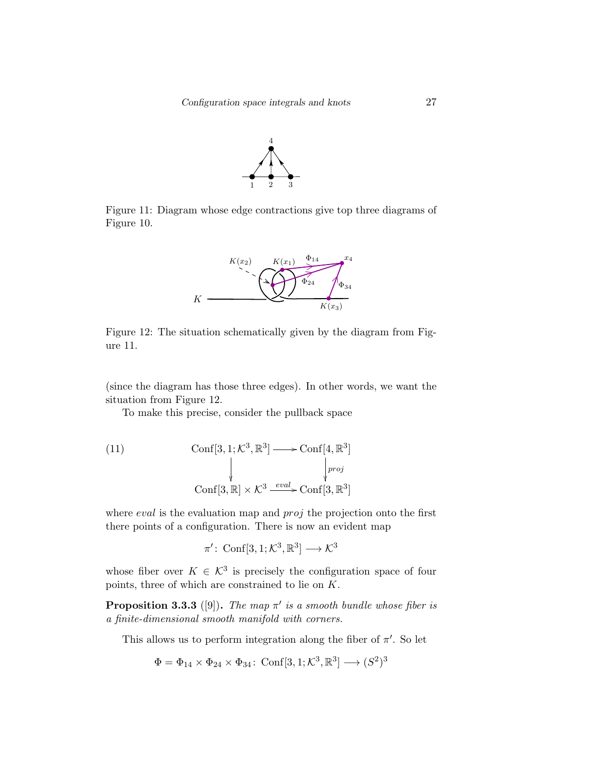

Figure 11: Diagram whose edge contractions give top three diagrams of Figure 10.



Figure 12: The situation schematically given by the diagram from Figure 11.

(since the diagram has those three edges). In other words, we want the situation from Figure 12.

To make this precise, consider the pullback space

(11) 
$$
\operatorname{Conf}[3, 1; \mathcal{K}^3, \mathbb{R}^3] \longrightarrow \operatorname{Conf}[4, \mathbb{R}^3]
$$

$$
\downarrow \qquad \qquad \downarrow \qquad \qquad \downarrow \qquad \qquad \downarrow \qquad \qquad \downarrow \qquad \qquad \downarrow \qquad \qquad \downarrow \qquad \qquad \downarrow \qquad \qquad \downarrow \qquad \qquad \downarrow \qquad \qquad \downarrow \qquad \qquad \downarrow \qquad \qquad \downarrow \qquad \qquad \downarrow \qquad \qquad \downarrow \qquad \qquad \downarrow \qquad \qquad \downarrow \qquad \qquad \downarrow \qquad \qquad \downarrow \qquad \qquad \downarrow \qquad \qquad \downarrow \qquad \downarrow \qquad \qquad \downarrow \qquad \downarrow \qquad \downarrow \qquad \downarrow \qquad \downarrow \qquad \downarrow \qquad \downarrow \qquad \downarrow \qquad \downarrow \qquad \downarrow \qquad \downarrow \qquad \downarrow \qquad \downarrow \qquad \downarrow \qquad \downarrow \qquad \downarrow \qquad \downarrow \qquad \downarrow \qquad \downarrow \qquad \downarrow \qquad \downarrow \qquad \downarrow \qquad \downarrow \qquad \downarrow \qquad \downarrow \qquad \downarrow \qquad \downarrow \qquad \downarrow \qquad \downarrow \qquad \downarrow \qquad \downarrow \qquad \downarrow \qquad \downarrow \qquad \downarrow \qquad \downarrow \qquad \downarrow \qquad \downarrow \qquad \downarrow \qquad \downarrow \qquad \downarrow \qquad \downarrow \qquad \downarrow \qquad \downarrow \qquad \downarrow \qquad \downarrow \qquad \downarrow \qquad \downarrow \qquad \downarrow \qquad \downarrow \qquad \downarrow \qquad \downarrow \qquad \downarrow \qquad \downarrow \qquad \downarrow \qquad \downarrow \qquad \downarrow \qquad \downarrow \qquad \downarrow \qquad \downarrow \qquad \downarrow \qquad \downarrow \qquad \downarrow \qquad \downarrow \qquad \downarrow \qquad \downarrow \qquad \downarrow \qquad \downarrow \qquad \downarrow \qquad \downarrow \qquad \downarrow \qquad \downarrow \qquad \downarrow \qquad \downarrow \qquad \downarrow \qquad \downarrow \qquad \downarrow \qquad \downarrow \qquad \downarrow \qquad \downarrow \qquad \downarrow \qquad \downarrow \qquad \downarrow \qquad \downarrow \qquad \downarrow \qquad \downarrow
$$

where *eval* is the evaluation map and *proj* the projection onto the first there points of a configuration. There is now an evident map

$$
\pi' \colon \operatorname{Conf}[3,1; \mathcal{K}^3, \mathbb{R}^3] \longrightarrow \mathcal{K}^3
$$

whose fiber over  $K \in \mathcal{K}^3$  is precisely the configuration space of four points, three of which are constrained to lie on K.

**Proposition 3.3.3** ([9]). The map  $\pi'$  is a smooth bundle whose fiber is a finite-dimensional smooth manifold with corners.

This allows us to perform integration along the fiber of  $\pi'$ . So let

$$
\Phi = \Phi_{14} \times \Phi_{24} \times \Phi_{34} : \text{Conf}[3, 1; \mathcal{K}^3, \mathbb{R}^3] \longrightarrow (S^2)^3
$$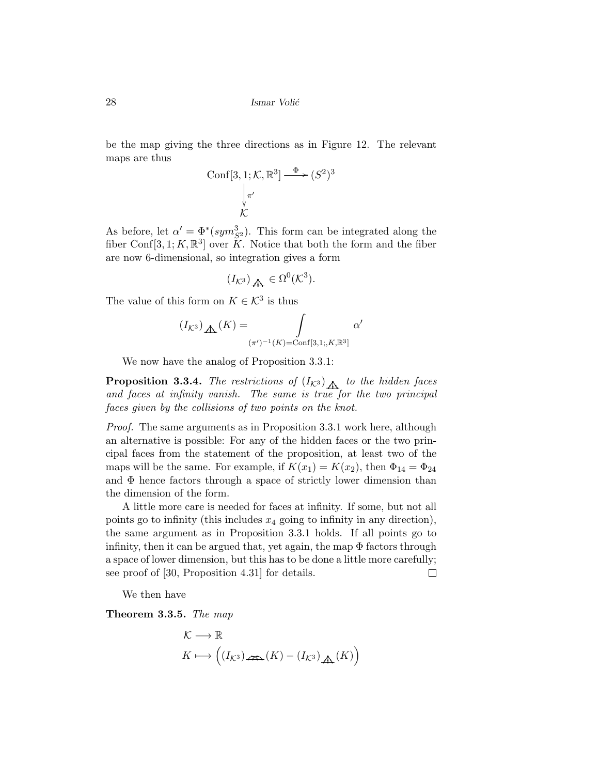be the map giving the three directions as in Figure 12. The relevant maps are thus

$$
\text{Conf}[3, 1; \mathcal{K}, \mathbb{R}^3] \xrightarrow{\Phi} (S^2)^3
$$

$$
\downarrow_{\pi'}^{\pi'}
$$

$$
\mathcal{K}
$$

As before, let  $\alpha' = \Phi^*(sym_{S^2}^3)$ . This form can be integrated along the fiber Conf[3, 1; K,  $\mathbb{R}^3$ ] over K. Notice that both the form and the fiber are now 6-dimensional, so integration gives a form

$$
(I_{K^3})_{\bigoplus} \in \Omega^0(\mathcal{K}^3).
$$

The value of this form on  $K \in \mathcal{K}^3$  is thus

$$
(I_{K^3})_{\mathbb{A}}(K) = \int_{(\pi')^{-1}(K) = \text{Conf}[3,1;K,\mathbb{R}^3]} \alpha'
$$

We now have the analog of Proposition 3.3.1:

**Proposition 3.3.4.** The restrictions of  $(I_{\mathcal{K}^3})$  to the hidden faces and faces at infinity vanish. The same is true for the two principal faces given by the collisions of two points on the knot.

Proof. The same arguments as in Proposition 3.3.1 work here, although an alternative is possible: For any of the hidden faces or the two principal faces from the statement of the proposition, at least two of the maps will be the same. For example, if  $K(x_1) = K(x_2)$ , then  $\Phi_{14} = \Phi_{24}$ and  $\Phi$  hence factors through a space of strictly lower dimension than the dimension of the form.

A little more care is needed for faces at infinity. If some, but not all points go to infinity (this includes  $x_4$  going to infinity in any direction), the same argument as in Proposition 3.3.1 holds. If all points go to infinity, then it can be argued that, yet again, the map  $\Phi$  factors through a space of lower dimension, but this has to be done a little more carefully; see proof of [30, Proposition 4.31] for details.  $\Box$ 

We then have

Theorem 3.3.5. The map

$$
\mathcal{K} \longrightarrow \mathbb{R}
$$
  

$$
K \longmapsto ((I_{\mathcal{K}^3})_{\mathcal{L}\mathfrak{D}_{\bullet}}(K) - (I_{\mathcal{K}^3})_{\mathbf{\underline{A}}_{\bullet}}(K))
$$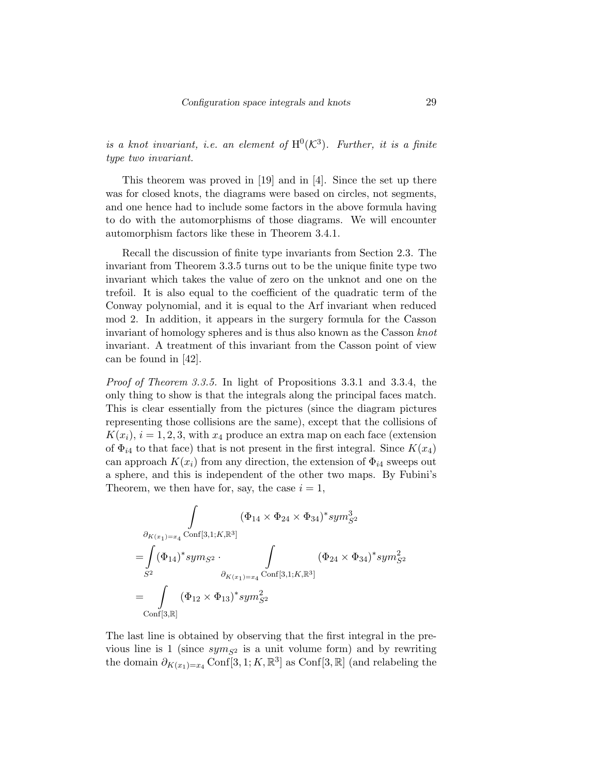is a knot invariant, i.e. an element of  $\text{H}^0(\mathcal{K}^3)$ . Further, it is a finite type two invariant.

This theorem was proved in [19] and in [4]. Since the set up there was for closed knots, the diagrams were based on circles, not segments, and one hence had to include some factors in the above formula having to do with the automorphisms of those diagrams. We will encounter automorphism factors like these in Theorem 3.4.1.

Recall the discussion of finite type invariants from Section 2.3. The invariant from Theorem 3.3.5 turns out to be the unique finite type two invariant which takes the value of zero on the unknot and one on the trefoil. It is also equal to the coefficient of the quadratic term of the Conway polynomial, and it is equal to the Arf invariant when reduced mod 2. In addition, it appears in the surgery formula for the Casson invariant of homology spheres and is thus also known as the Casson knot invariant. A treatment of this invariant from the Casson point of view can be found in [42].

Proof of Theorem 3.3.5. In light of Propositions 3.3.1 and 3.3.4, the only thing to show is that the integrals along the principal faces match. This is clear essentially from the pictures (since the diagram pictures representing those collisions are the same), except that the collisions of  $K(x_i)$ ,  $i = 1, 2, 3$ , with  $x_4$  produce an extra map on each face (extension of  $\Phi_{i4}$  to that face) that is not present in the first integral. Since  $K(x_4)$ can approach  $K(x_i)$  from any direction, the extension of  $\Phi_{i4}$  sweeps out a sphere, and this is independent of the other two maps. By Fubini's Theorem, we then have for, say, the case  $i = 1$ ,

$$
\int_{\partial_{K(x_{1})=x_{4}}(\Phi_{14} \times \Phi_{24} \times \Phi_{34})^{*}sym^{3}_{S^{2}}}
$$
\n
$$
= \int_{S^{2}} (\Phi_{14})^{*}sym_{S^{2}} \cdot \int_{\partial_{K(x_{1})=x_{4}}(\text{Conf}[3,1;K,\mathbb{R}^{3}])} (\Phi_{24} \times \Phi_{34})^{*}sym^{2}_{S^{2}}
$$
\n
$$
= \int_{\text{Conf}[3,\mathbb{R}]} (\Phi_{12} \times \Phi_{13})^{*}sym^{2}_{S^{2}}
$$

The last line is obtained by observing that the first integral in the previous line is 1 (since  $sym_{S^2}$  is a unit volume form) and by rewriting the domain  $\partial_{K(x_1)=x_4}$  Conf[3, 1; K,  $\mathbb{R}^3$ ] as Conf[3,  $\mathbb{R}$ ] (and relabeling the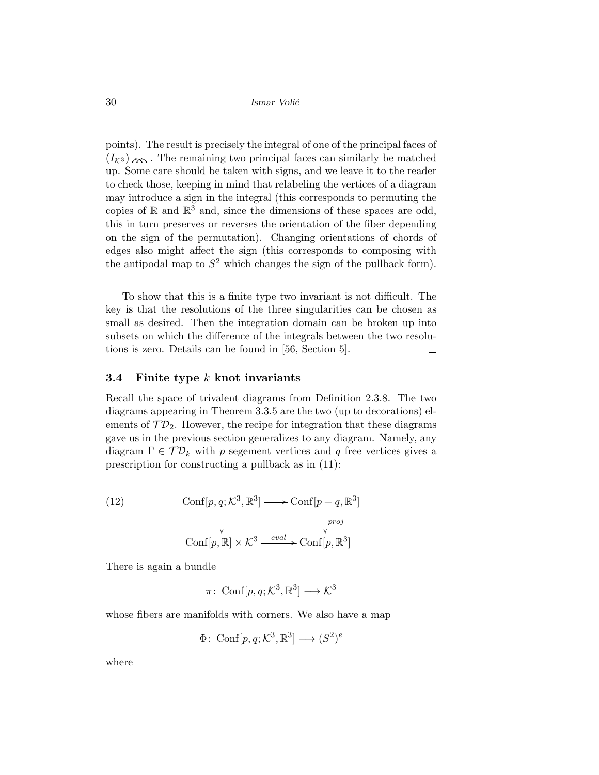points). The result is precisely the integral of one of the principal faces of  $(I_{K3})_{\ell \to \infty}$ . The remaining two principal faces can similarly be matched up. Some care should be taken with signs, and we leave it to the reader to check those, keeping in mind that relabeling the vertices of a diagram may introduce a sign in the integral (this corresponds to permuting the copies of  $\mathbb R$  and  $\mathbb R^3$  and, since the dimensions of these spaces are odd, this in turn preserves or reverses the orientation of the fiber depending on the sign of the permutation). Changing orientations of chords of edges also might affect the sign (this corresponds to composing with the antipodal map to  $S^2$  which changes the sign of the pullback form).

To show that this is a finite type two invariant is not difficult. The key is that the resolutions of the three singularities can be chosen as small as desired. Then the integration domain can be broken up into subsets on which the difference of the integrals between the two resolutions is zero. Details can be found in [56, Section 5].  $\Box$ 

### 3.4 Finite type  $k$  knot invariants

Recall the space of trivalent diagrams from Definition 2.3.8. The two diagrams appearing in Theorem 3.3.5 are the two (up to decorations) elements of  $\mathcal{TD}_2$ . However, the recipe for integration that these diagrams gave us in the previous section generalizes to any diagram. Namely, any diagram  $\Gamma \in \mathcal{TD}_k$  with p segement vertices and q free vertices gives a prescription for constructing a pullback as in (11):

(12) 
$$
\operatorname{Conf}[p, q; \mathcal{K}^3, \mathbb{R}^3] \longrightarrow \operatorname{Conf}[p + q, \mathbb{R}^3] \downarrow \qquad \qquad \downarrow \qquad \qquad \downarrow \qquad \qquad \downarrow \qquad \qquad \downarrow \qquad \qquad \downarrow \qquad \qquad \downarrow \qquad \qquad \downarrow \qquad \qquad \downarrow \qquad \qquad \downarrow \qquad \qquad \downarrow \qquad \qquad \downarrow \qquad \qquad \downarrow \qquad \qquad \downarrow \qquad \qquad \downarrow \qquad \qquad \downarrow \qquad \qquad \downarrow \qquad \qquad \downarrow \qquad \qquad \downarrow \qquad \qquad \downarrow \qquad \qquad \downarrow \qquad \downarrow \qquad \qquad \downarrow \qquad \downarrow \qquad \downarrow \qquad \downarrow \qquad \downarrow \qquad \downarrow \qquad \downarrow \qquad \downarrow \qquad \downarrow \qquad \downarrow \qquad \downarrow \qquad \downarrow \qquad \downarrow \qquad \downarrow \qquad \downarrow \qquad \downarrow \qquad \downarrow \qquad \downarrow \qquad \downarrow \qquad \downarrow \qquad \downarrow \qquad \downarrow \qquad \downarrow \qquad \downarrow \qquad \downarrow \qquad \downarrow \qquad \downarrow \qquad \downarrow \qquad \downarrow \qquad \downarrow \qquad \downarrow \qquad \downarrow \qquad \downarrow \qquad \downarrow \qquad \downarrow \qquad \downarrow \qquad \downarrow \qquad \downarrow \qquad \downarrow \qquad \downarrow \qquad \downarrow \qquad \downarrow \qquad \downarrow \qquad \downarrow \qquad \downarrow \qquad \downarrow \qquad \downarrow \qquad \downarrow \qquad \downarrow \qquad \downarrow \qquad \downarrow \qquad \downarrow \qquad \downarrow \qquad \downarrow \qquad \downarrow \qquad \downarrow \qquad \downarrow \qquad \downarrow \qquad \downarrow \qquad \downarrow \qquad \downarrow \qquad \downarrow \qquad \downarrow \qquad \downarrow \qquad \downarrow \qquad \downarrow \qquad \downarrow \qquad \downarrow \qquad \downarrow \qquad \downarrow \qquad \downarrow \qquad \downarrow \qquad \downarrow \qquad \downarrow \qquad \downarrow \qquad \downarrow \qquad \downarrow \qquad \downarrow \qquad \downarrow \qquad \downarrow \qquad \downarrow \qquad \downarrow \qquad \downarrow \qquad \downarrow \qquad \downarrow \qquad \down
$$

There is again a bundle

 $\pi\colon \operatorname{Conf}[p,q;\mathcal{K}^3,\mathbb{R}^3]\longrightarrow \mathcal{K}^3$ 

whose fibers are manifolds with corners. We also have a map

$$
\Phi\colon \operatorname{Conf}[p,q;\mathcal{K}^3,\mathbb{R}^3] \longrightarrow (S^2)^e
$$

where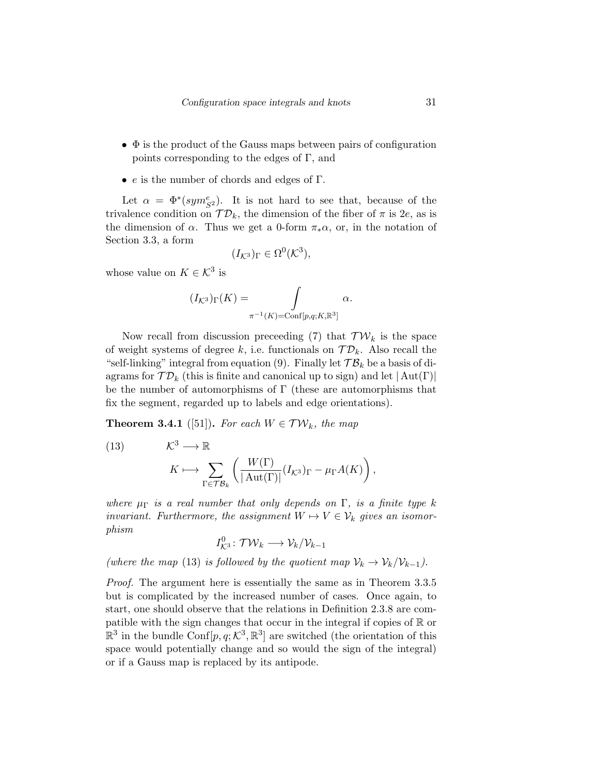- $\bullet$   $\Phi$  is the product of the Gauss maps between pairs of configuration points corresponding to the edges of  $\Gamma$ , and
- e is the number of chords and edges of  $\Gamma$ .

Let  $\alpha = \Phi^*(sym_{S^2}^e)$ . It is not hard to see that, because of the trivalence condition on  $\mathcal{TD}_k$ , the dimension of the fiber of  $\pi$  is 2e, as is the dimension of  $\alpha$ . Thus we get a 0-form  $\pi_*\alpha$ , or, in the notation of Section 3.3, a form

$$
(I_{K^3})_{\Gamma} \in \Omega^0(\mathcal{K}^3),
$$

whose value on  $K \in \mathcal{K}^3$  is

$$
(I_{K^3})_{\Gamma}(K) = \int_{\pi^{-1}(K) = \text{Conf}[p,q;K,\mathbb{R}^3]} \alpha.
$$

Now recall from discussion preceeding (7) that  $\mathcal{TW}_k$  is the space of weight systems of degree k, i.e. functionals on  $\mathcal{TD}_k$ . Also recall the "self-linking" integral from equation (9). Finally let  $\mathcal{TB}_k$  be a basis of diagrams for  $TD_k$  (this is finite and canonical up to sign) and let  $|\text{Aut}(\Gamma)|$ be the number of automorphisms of Γ (these are automorphisms that fix the segment, regarded up to labels and edge orientations).

**Theorem 3.4.1** ([51]). For each  $W \in \mathcal{TW}_k$ , the map

(13) 
$$
\mathcal{K}^3 \longrightarrow \mathbb{R}
$$

$$
K \longmapsto \sum_{\Gamma \in \mathcal{TB}_k} \left( \frac{W(\Gamma)}{|\operatorname{Aut}(\Gamma)|} (I_{\mathcal{K}^3})_{\Gamma} - \mu_{\Gamma} A(K) \right),
$$

where  $\mu_{\Gamma}$  is a real number that only depends on  $\Gamma$ , is a finite type k invariant. Furthermore, the assignment  $W \mapsto V \in \mathcal{V}_k$  gives an isomorphism

$$
I_{\mathcal{K}^3}^0 \colon \mathcal{TW}_k \longrightarrow \mathcal{V}_k/\mathcal{V}_{k-1}
$$

(where the map (13) is followed by the quotient map  $\mathcal{V}_k \to \mathcal{V}_k/\mathcal{V}_{k-1}$ ).

Proof. The argument here is essentially the same as in Theorem 3.3.5 but is complicated by the increased number of cases. Once again, to start, one should observe that the relations in Definition 2.3.8 are compatible with the sign changes that occur in the integral if copies of  $\mathbb R$  or  $\mathbb{R}^3$  in the bundle Conf $[p, q; \mathcal{K}^3, \mathbb{R}^3]$  are switched (the orientation of this space would potentially change and so would the sign of the integral) or if a Gauss map is replaced by its antipode.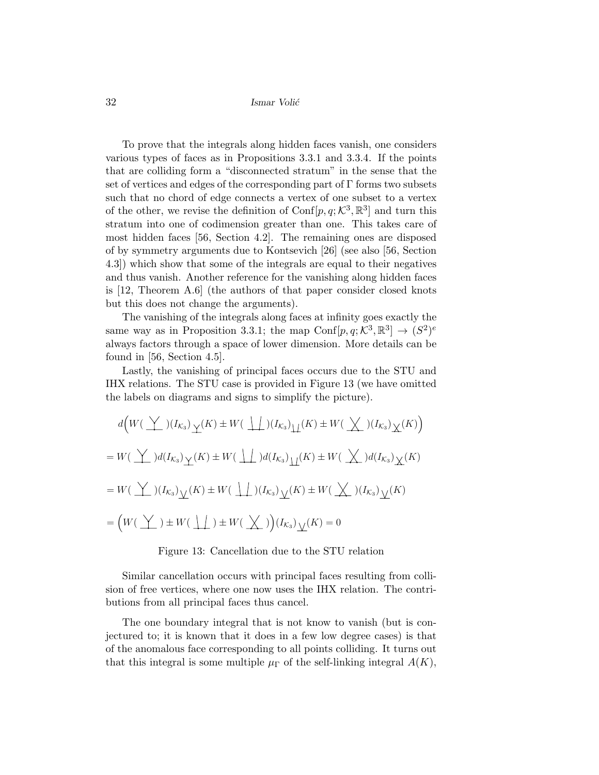To prove that the integrals along hidden faces vanish, one considers various types of faces as in Propositions 3.3.1 and 3.3.4. If the points that are colliding form a "disconnected stratum" in the sense that the set of vertices and edges of the corresponding part of Γ forms two subsets such that no chord of edge connects a vertex of one subset to a vertex of the other, we revise the definition of  $\text{Conf}[p, q; \mathcal{K}^3, \mathbb{R}^3]$  and turn this stratum into one of codimension greater than one. This takes care of most hidden faces [56, Section 4.2]. The remaining ones are disposed of by symmetry arguments due to Kontsevich [26] (see also [56, Section 4.3]) which show that some of the integrals are equal to their negatives and thus vanish. Another reference for the vanishing along hidden faces is [12, Theorem A.6] (the authors of that paper consider closed knots but this does not change the arguments).

The vanishing of the integrals along faces at infinity goes exactly the same way as in Proposition 3.3.1; the map Conf $[p, q; \mathcal{K}^3, \mathbb{R}^3] \to (S^2)^e$ always factors through a space of lower dimension. More details can be found in [56, Section 4.5].

Lastly, the vanishing of principal faces occurs due to the STU and IHX relations. The STU case is provided in Figure 13 (we have omitted the labels on diagrams and signs to simplify the picture).

$$
d\Big(W(\underline{Y}) (I_{K_3}) \underline{Y}(K) \pm W(\underline{Y}) (I_{K_3}) \underline{Y}(K) \pm W(\underline{Y}) (I_{K_3}) \underline{Y}(K)\Big)
$$
  
=  $W(\underline{Y}) d(I_{K_3}) \underline{Y}(K) \pm W(\underline{Y}) d(I_{K_3}) \underline{Y}(K) \pm W(\underline{Y}) d(I_{K_3}) \underline{Y}(K)$   
=  $W(\underline{Y}) (I_{K_3}) \underline{Y}(K) \pm W(\underline{Y}) (I_{K_3}) \underline{Y}(K) \pm W(\underline{Y}) (I_{K_3}) \underline{Y}(K)$   
=  $(W(\underline{Y}) \pm W(\underline{Y}) \pm W(\underline{Y}) (I_{K_3}) \underline{Y}(K) = 0$ 

#### Figure 13: Cancellation due to the STU relation

Similar cancellation occurs with principal faces resulting from collision of free vertices, where one now uses the IHX relation. The contributions from all principal faces thus cancel.

The one boundary integral that is not know to vanish (but is conjectured to; it is known that it does in a few low degree cases) is that of the anomalous face corresponding to all points colliding. It turns out that this integral is some multiple  $\mu_{\Gamma}$  of the self-linking integral  $A(K)$ ,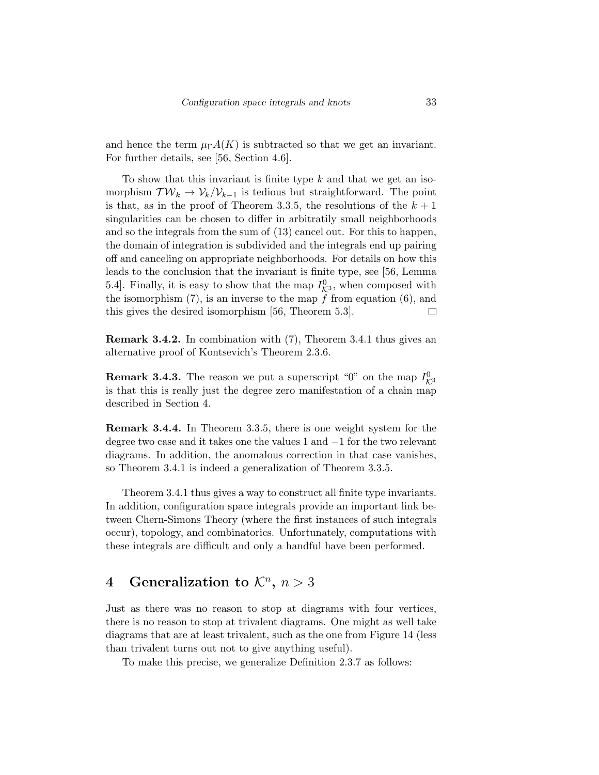and hence the term  $\mu_{\Gamma}A(K)$  is subtracted so that we get an invariant. For further details, see [56, Section 4.6].

To show that this invariant is finite type  $k$  and that we get an isomorphism  $\mathcal{TW}_k \to \mathcal{V}_k/\mathcal{V}_{k-1}$  is tedious but straightforward. The point is that, as in the proof of Theorem 3.3.5, the resolutions of the  $k+1$ singularities can be chosen to differ in arbitratily small neighborhoods and so the integrals from the sum of (13) cancel out. For this to happen, the domain of integration is subdivided and the integrals end up pairing off and canceling on appropriate neighborhoods. For details on how this leads to the conclusion that the invariant is finite type, see [56, Lemma 5.4]. Finally, it is easy to show that the map  $I_{\mathcal{K}^3}^0$ , when composed with the isomorphism  $(7)$ , is an inverse to the map  $\hat{f}$  from equation  $(6)$ , and this gives the desired isomorphism [56, Theorem 5.3].  $\Box$ 

Remark 3.4.2. In combination with (7), Theorem 3.4.1 thus gives an alternative proof of Kontsevich's Theorem 2.3.6.

**Remark 3.4.3.** The reason we put a superscript "0" on the map  $I_{\mathcal{K}^3}^0$ is that this is really just the degree zero manifestation of a chain map described in Section 4.

Remark 3.4.4. In Theorem 3.3.5, there is one weight system for the degree two case and it takes one the values 1 and −1 for the two relevant diagrams. In addition, the anomalous correction in that case vanishes, so Theorem 3.4.1 is indeed a generalization of Theorem 3.3.5.

Theorem 3.4.1 thus gives a way to construct all finite type invariants. In addition, configuration space integrals provide an important link between Chern-Simons Theory (where the first instances of such integrals occur), topology, and combinatorics. Unfortunately, computations with these integrals are difficult and only a handful have been performed.

# 4 Generalization to  $\mathcal{K}^n$ ,  $n > 3$

Just as there was no reason to stop at diagrams with four vertices, there is no reason to stop at trivalent diagrams. One might as well take diagrams that are at least trivalent, such as the one from Figure 14 (less than trivalent turns out not to give anything useful).

To make this precise, we generalize Definition 2.3.7 as follows: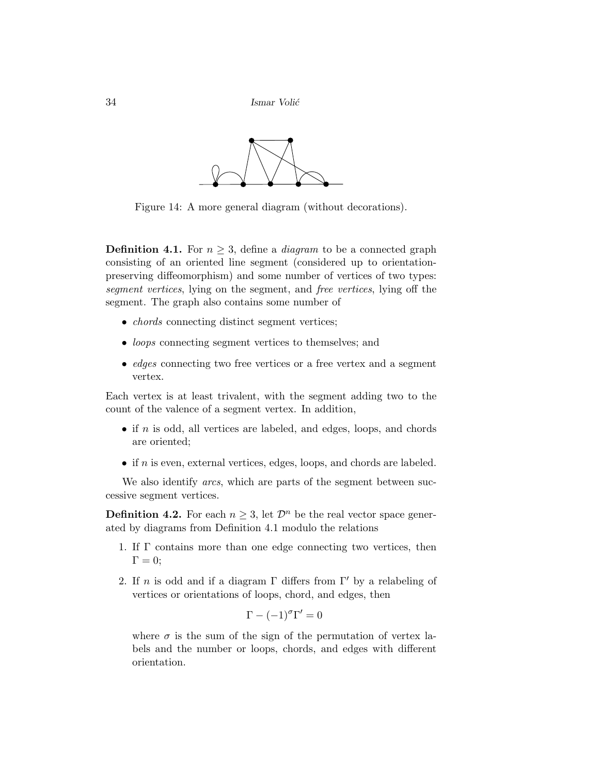

Figure 14: A more general diagram (without decorations).

**Definition 4.1.** For  $n \geq 3$ , define a *diagram* to be a connected graph consisting of an oriented line segment (considered up to orientationpreserving diffeomorphism) and some number of vertices of two types: segment vertices, lying on the segment, and free vertices, lying off the segment. The graph also contains some number of

- *chords* connecting distinct segment vertices;
- *loops* connecting segment vertices to themselves; and
- *edges* connecting two free vertices or a free vertex and a segment vertex.

Each vertex is at least trivalent, with the segment adding two to the count of the valence of a segment vertex. In addition,

- if  $n$  is odd, all vertices are labeled, and edges, loops, and chords are oriented;
- if  $n$  is even, external vertices, edges, loops, and chords are labeled.

We also identify *arcs*, which are parts of the segment between successive segment vertices.

**Definition 4.2.** For each  $n \geq 3$ , let  $\mathcal{D}^n$  be the real vector space generated by diagrams from Definition 4.1 modulo the relations

- 1. If Γ contains more than one edge connecting two vertices, then  $\Gamma = 0;$
- 2. If n is odd and if a diagram  $\Gamma$  differs from  $\Gamma'$  by a relabeling of vertices or orientations of loops, chord, and edges, then

$$
\Gamma - (-1)^{\sigma} \Gamma' = 0
$$

where  $\sigma$  is the sum of the sign of the permutation of vertex labels and the number or loops, chords, and edges with different orientation.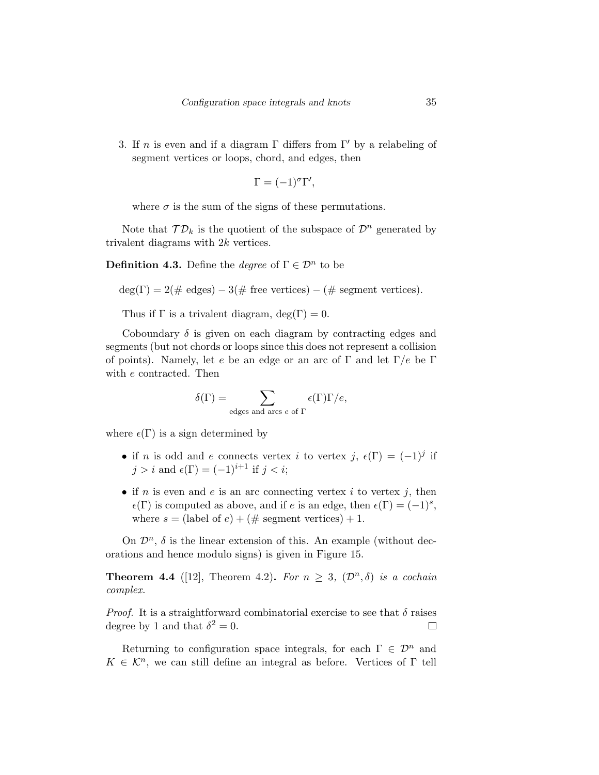3. If n is even and if a diagram  $\Gamma$  differs from  $\Gamma'$  by a relabeling of segment vertices or loops, chord, and edges, then

$$
\Gamma = (-1)^{\sigma} \Gamma',
$$

where  $\sigma$  is the sum of the signs of these permutations.

Note that  $\mathcal{TD}_k$  is the quotient of the subspace of  $\mathcal{D}^n$  generated by trivalent diagrams with 2k vertices.

**Definition 4.3.** Define the *degree* of  $\Gamma \in \mathcal{D}^n$  to be

$$
deg(\Gamma) = 2(\# edges) - 3(\# free vertices) - (\# segment vertices).
$$

Thus if  $\Gamma$  is a trivalent diagram,  $\deg(\Gamma) = 0$ .

Coboundary  $\delta$  is given on each diagram by contracting edges and segments (but not chords or loops since this does not represent a collision of points). Namely, let e be an edge or an arc of  $\Gamma$  and let  $\Gamma/e$  be  $\Gamma$ with e contracted. Then

$$
\delta(\Gamma) = \sum_{\text{edges and arcs } e \text{ of } \Gamma} \epsilon(\Gamma) \Gamma/e,
$$

where  $\epsilon(\Gamma)$  is a sign determined by

- if n is odd and e connects vertex i to vertex j,  $\epsilon(\Gamma) = (-1)^j$  if  $j > i$  and  $\epsilon(\Gamma) = (-1)^{i+1}$  if  $j < i$ ;
- if *n* is even and *e* is an arc connecting vertex *i* to vertex *j*, then  $\epsilon(\Gamma)$  is computed as above, and if e is an edge, then  $\epsilon(\Gamma) = (-1)^s$ , where  $s =$  (label of  $e$ ) + (# segment vertices) + 1.

On  $\mathcal{D}^n$ ,  $\delta$  is the linear extension of this. An example (without decorations and hence modulo signs) is given in Figure 15.

**Theorem 4.4** ([12], Theorem 4.2). For  $n \geq 3$ ,  $(\mathcal{D}^n, \delta)$  is a cochain complex.

*Proof.* It is a straightforward combinatorial exercise to see that  $\delta$  raises degree by 1 and that  $\delta^2 = 0$ .  $\Box$ 

Returning to configuration space integrals, for each  $\Gamma \in \mathcal{D}^n$  and  $K \in \mathcal{K}^n$ , we can still define an integral as before. Vertices of  $\Gamma$  tell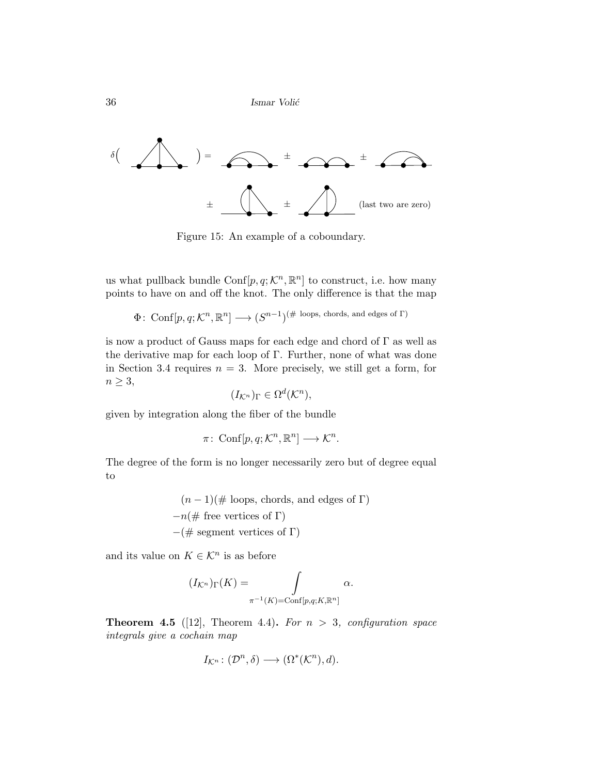${\bf Ismar~Voli\'c}$ 



Figure 15: An example of a coboundary.

us what pullback bundle Conf $[p, q; \mathcal{K}^n, \mathbb{R}^n]$  to construct, i.e. how many points to have on and off the knot. The only difference is that the map

 $\Phi\colon\operatorname{Conf}[p,q;\mathcal{K}^n,\mathbb{R}^n]\longrightarrow (S^{n-1})^{(\#\text{ loops, chords, and edges of }\Gamma)}$ 

is now a product of Gauss maps for each edge and chord of  $\Gamma$  as well as the derivative map for each loop of Γ. Further, none of what was done in Section 3.4 requires  $n = 3$ . More precisely, we still get a form, for  $n \geq 3$ ,

$$
(I_{\mathcal{K}^n})_{\Gamma} \in \Omega^d(\mathcal{K}^n),
$$

given by integration along the fiber of the bundle

$$
\pi\colon \operatorname{Conf}[p,q;\mathcal{K}^n,\mathbb{R}^n]\longrightarrow \mathcal{K}^n.
$$

The degree of the form is no longer necessarily zero but of degree equal to

> $(n-1)(\text{\# loops, chords, and edges of }\Gamma)$  $-n(\text{# free vertices of } \Gamma)$  $-(\# \text{ segment vertices of } \Gamma)$

and its value on  $K \in \mathcal{K}^n$  is as before

$$
(I_{\mathcal{K}^n})_{\Gamma}(K) = \int_{\pi^{-1}(K) = \text{Conf}[p,q;K,\mathbb{R}^n]} \alpha.
$$

**Theorem 4.5** ([12], Theorem 4.4). For  $n > 3$ , configuration space integrals give a cochain map

$$
I_{\mathcal{K}^n} \colon (\mathcal{D}^n, \delta) \longrightarrow (\Omega^*(\mathcal{K}^n), d).
$$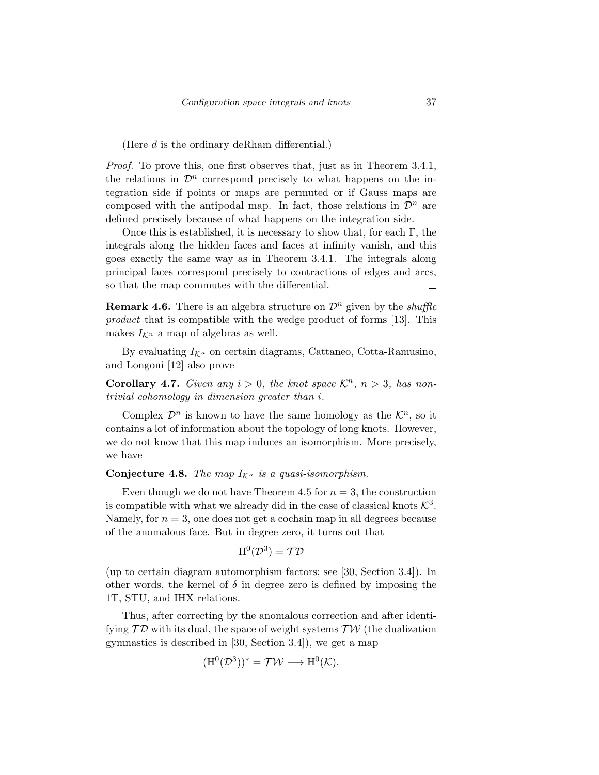(Here d is the ordinary deRham differential.)

Proof. To prove this, one first observes that, just as in Theorem 3.4.1, the relations in  $\mathcal{D}^n$  correspond precisely to what happens on the integration side if points or maps are permuted or if Gauss maps are composed with the antipodal map. In fact, those relations in  $\mathcal{D}^n$  are defined precisely because of what happens on the integration side.

Once this is established, it is necessary to show that, for each  $\Gamma$ , the integrals along the hidden faces and faces at infinity vanish, and this goes exactly the same way as in Theorem 3.4.1. The integrals along principal faces correspond precisely to contractions of edges and arcs, so that the map commutes with the differential.  $\Box$ 

**Remark 4.6.** There is an algebra structure on  $\mathcal{D}^n$  given by the *shuffle* product that is compatible with the wedge product of forms [13]. This makes  $I_{\mathcal{K}^n}$  a map of algebras as well.

By evaluating  $I_{\mathcal{K}^n}$  on certain diagrams, Cattaneo, Cotta-Ramusino, and Longoni [12] also prove

**Corollary 4.7.** Given any  $i > 0$ , the knot space  $\mathcal{K}^n$ ,  $n > 3$ , has nontrivial cohomology in dimension greater than i.

Complex  $\mathcal{D}^n$  is known to have the same homology as the  $\mathcal{K}^n$ , so it contains a lot of information about the topology of long knots. However, we do not know that this map induces an isomorphism. More precisely, we have

Conjecture 4.8. The map  $I_{\mathcal{K}^n}$  is a quasi-isomorphism.

Even though we do not have Theorem 4.5 for  $n = 3$ , the construction is compatible with what we already did in the case of classical knots  $K^3$ . Namely, for  $n = 3$ , one does not get a cochain map in all degrees because of the anomalous face. But in degree zero, it turns out that

$$
\operatorname{H}^0(\mathcal{D}^3)=\mathcal{T}\mathcal{D}
$$

(up to certain diagram automorphism factors; see [30, Section 3.4]). In other words, the kernel of  $\delta$  in degree zero is defined by imposing the 1T, STU, and IHX relations.

Thus, after correcting by the anomalous correction and after identifying  $\mathcal{TD}$  with its dual, the space of weight systems  $\mathcal{TW}$  (the dualization gymnastics is described in [30, Section 3.4]), we get a map

$$
(\mathrm{H}^0(\mathcal{D}^3))^* = \mathcal{TW} \longrightarrow \mathrm{H}^0(\mathcal{K}).
$$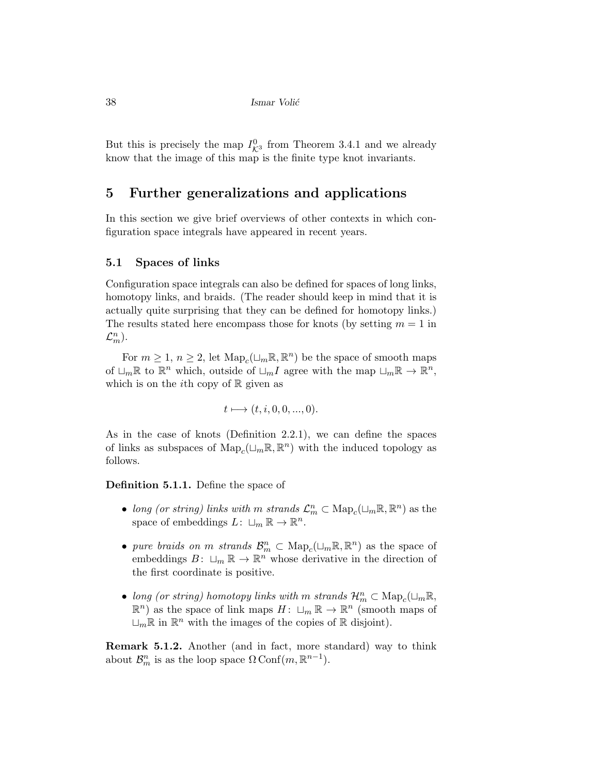38 Ismar Voli´c

But this is precisely the map  $I_{\mathcal{K}^3}^0$  from Theorem 3.4.1 and we already know that the image of this map is the finite type knot invariants.

### 5 Further generalizations and applications

In this section we give brief overviews of other contexts in which configuration space integrals have appeared in recent years.

### 5.1 Spaces of links

Configuration space integrals can also be defined for spaces of long links, homotopy links, and braids. (The reader should keep in mind that it is actually quite surprising that they can be defined for homotopy links.) The results stated here encompass those for knots (by setting  $m = 1$  in  $\mathcal{L}_m^n$ ).

For  $m \geq 1, n \geq 2$ , let  $\text{Map}_c(\sqcup_m \mathbb{R}, \mathbb{R}^n)$  be the space of smooth maps of  $\Box_m \mathbb{R}$  to  $\mathbb{R}^n$  which, outside of  $\Box_m I$  agree with the map  $\Box_m \mathbb{R} \to \mathbb{R}^n$ , which is on the *i*th copy of  $\mathbb R$  given as

$$
t \longmapsto (t, i, 0, 0, ..., 0).
$$

As in the case of knots (Definition 2.2.1), we can define the spaces of links as subspaces of  $\mathrm{Map}_c(\sqcup_m \mathbb{R}, \mathbb{R}^n)$  with the induced topology as follows.

Definition 5.1.1. Define the space of

- long (or string) links with m strands  $\mathcal{L}_m^n \subset \text{Map}_c(\sqcup_m \mathbb{R}, \mathbb{R}^n)$  as the space of embeddings  $L: \Box_m \mathbb{R} \to \mathbb{R}^n$ .
- pure braids on m strands  $\mathcal{B}_m^n \subset \text{Map}_c(\sqcup_m \mathbb{R}, \mathbb{R}^n)$  as the space of embeddings  $B: \sqcup_m \mathbb{R} \to \mathbb{R}^n$  whose derivative in the direction of the first coordinate is positive.
- long (or string) homotopy links with m strands  $\mathcal{H}_m^n \subset \text{Map}_c(\sqcup_m \mathbb{R},$  $\mathbb{R}^n$ ) as the space of link maps  $H: \sqcup_m \mathbb{R} \to \mathbb{R}^n$  (smooth maps of  $\Box_m \mathbb{R}$  in  $\mathbb{R}^n$  with the images of the copies of  $\mathbb R$  disjoint).

Remark 5.1.2. Another (and in fact, more standard) way to think about  $\mathcal{B}_{m}^{n}$  is as the loop space  $\Omega \text{Conf}(m, \mathbb{R}^{n-1})$ .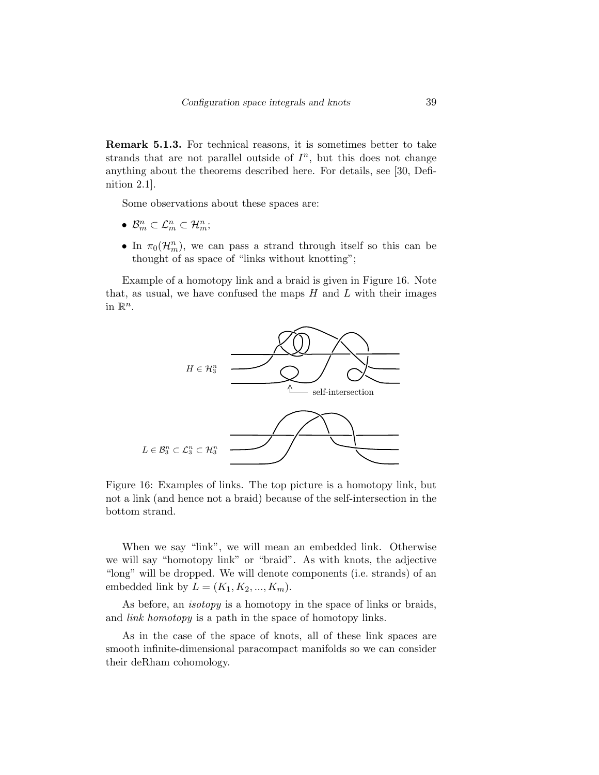Remark 5.1.3. For technical reasons, it is sometimes better to take strands that are not parallel outside of  $I<sup>n</sup>$ , but this does not change anything about the theorems described here. For details, see [30, Definition 2.1].

Some observations about these spaces are:

- $\mathcal{B}_m^n \subset \mathcal{L}_m^n \subset \mathcal{H}_m^n;$
- In  $\pi_0(\mathcal{H}_m^n)$ , we can pass a strand through itself so this can be thought of as space of "links without knotting";

Example of a homotopy link and a braid is given in Figure 16. Note that, as usual, we have confused the maps  $H$  and  $L$  with their images in  $\mathbb{R}^n$ .



Figure 16: Examples of links. The top picture is a homotopy link, but not a link (and hence not a braid) because of the self-intersection in the bottom strand.

When we say "link", we will mean an embedded link. Otherwise we will say "homotopy link" or "braid". As with knots, the adjective "long" will be dropped. We will denote components (i.e. strands) of an embedded link by  $L = (K_1, K_2, ..., K_m)$ .

As before, an *isotopy* is a homotopy in the space of links or braids, and link homotopy is a path in the space of homotopy links.

As in the case of the space of knots, all of these link spaces are smooth infinite-dimensional paracompact manifolds so we can consider their deRham cohomology.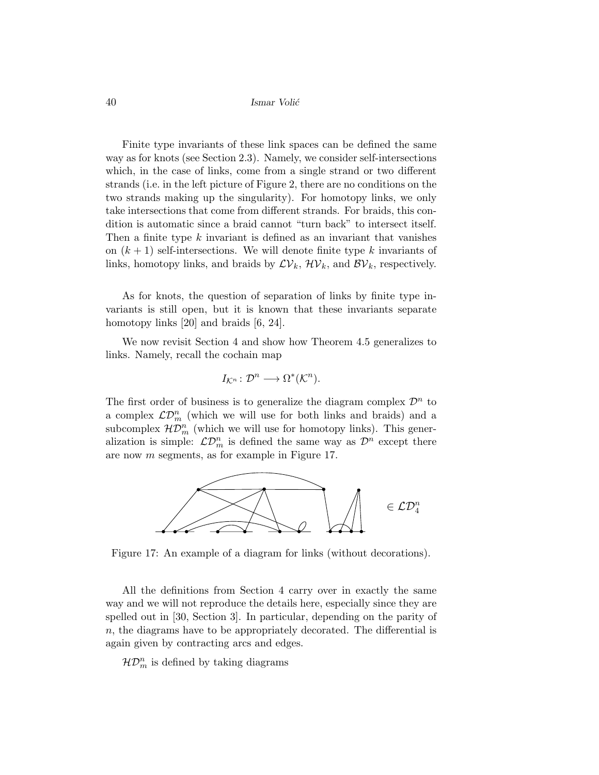Finite type invariants of these link spaces can be defined the same way as for knots (see Section 2.3). Namely, we consider self-intersections which, in the case of links, come from a single strand or two different strands (i.e. in the left picture of Figure 2, there are no conditions on the two strands making up the singularity). For homotopy links, we only take intersections that come from different strands. For braids, this condition is automatic since a braid cannot "turn back" to intersect itself. Then a finite type  $k$  invariant is defined as an invariant that vanishes on  $(k + 1)$  self-intersections. We will denote finite type k invariants of links, homotopy links, and braids by  $\mathcal{LV}_k$ ,  $\mathcal{HV}_k$ , and  $\mathcal{BV}_k$ , respectively.

As for knots, the question of separation of links by finite type invariants is still open, but it is known that these invariants separate homotopy links [20] and braids [6, 24].

We now revisit Section 4 and show how Theorem 4.5 generalizes to links. Namely, recall the cochain map

$$
I_{\mathcal{K}^n}: \mathcal{D}^n \longrightarrow \Omega^*(\mathcal{K}^n).
$$

The first order of business is to generalize the diagram complex  $\mathcal{D}^n$  to a complex  $\mathcal{LD}_m^n$  (which we will use for both links and braids) and a subcomplex  $\mathcal{HD}^n_m$  (which we will use for homotopy links). This generalization is simple:  $\mathcal{LD}_m^n$  is defined the same way as  $\mathcal{D}^n$  except there are now m segments, as for example in Figure 17.



Figure 17: An example of a diagram for links (without decorations).

All the definitions from Section 4 carry over in exactly the same way and we will not reproduce the details here, especially since they are spelled out in [30, Section 3]. In particular, depending on the parity of  $n$ , the diagrams have to be appropriately decorated. The differential is again given by contracting arcs and edges.

 $\mathcal{HD}_{m}^{n}$  is defined by taking diagrams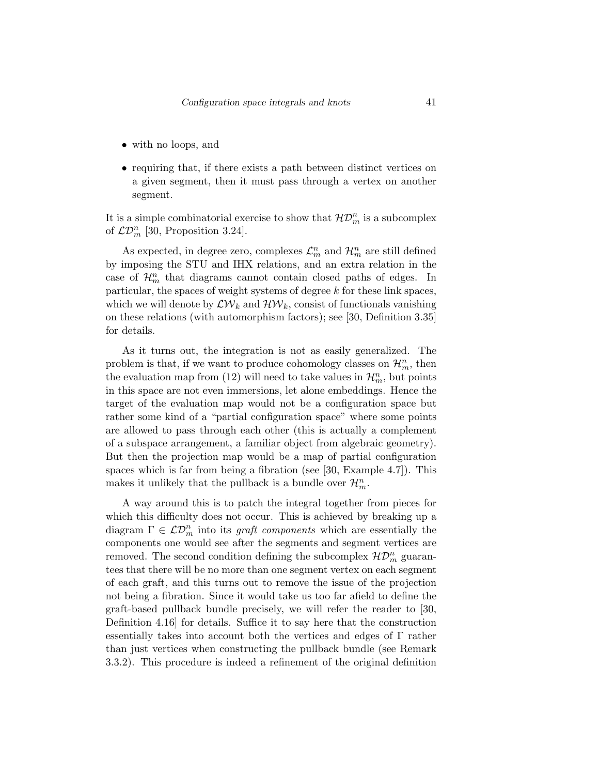- with no loops, and
- requiring that, if there exists a path between distinct vertices on a given segment, then it must pass through a vertex on another segment.

It is a simple combinatorial exercise to show that  $\mathcal{HD}_{m}^{n}$  is a subcomplex of  $\mathcal{LD}_m^n$  [30, Proposition 3.24].

As expected, in degree zero, complexes  $\mathcal{L}_m^n$  and  $\mathcal{H}_m^n$  are still defined by imposing the STU and IHX relations, and an extra relation in the case of  $\mathcal{H}_m^n$  that diagrams cannot contain closed paths of edges. In particular, the spaces of weight systems of degree k for these link spaces, which we will denote by  $\mathcal{L} \mathcal{W}_k$  and  $\mathcal{H} \mathcal{W}_k$ , consist of functionals vanishing on these relations (with automorphism factors); see [30, Definition 3.35] for details.

As it turns out, the integration is not as easily generalized. The problem is that, if we want to produce cohomology classes on  $\mathcal{H}_m^n$ , then the evaluation map from (12) will need to take values in  $\mathcal{H}_m^n$ , but points in this space are not even immersions, let alone embeddings. Hence the target of the evaluation map would not be a configuration space but rather some kind of a "partial configuration space" where some points are allowed to pass through each other (this is actually a complement of a subspace arrangement, a familiar object from algebraic geometry). But then the projection map would be a map of partial configuration spaces which is far from being a fibration (see [30, Example 4.7]). This makes it unlikely that the pullback is a bundle over  $\mathcal{H}_m^n.$ 

A way around this is to patch the integral together from pieces for which this difficulty does not occur. This is achieved by breaking up a diagram  $\Gamma \in \mathcal{LD}_m^n$  into its graft components which are essentially the components one would see after the segments and segment vertices are removed. The second condition defining the subcomplex  $\mathcal{HD}_{m}^{n}$  guarantees that there will be no more than one segment vertex on each segment of each graft, and this turns out to remove the issue of the projection not being a fibration. Since it would take us too far afield to define the graft-based pullback bundle precisely, we will refer the reader to [30, Definition 4.16] for details. Suffice it to say here that the construction essentially takes into account both the vertices and edges of Γ rather than just vertices when constructing the pullback bundle (see Remark 3.3.2). This procedure is indeed a refinement of the original definition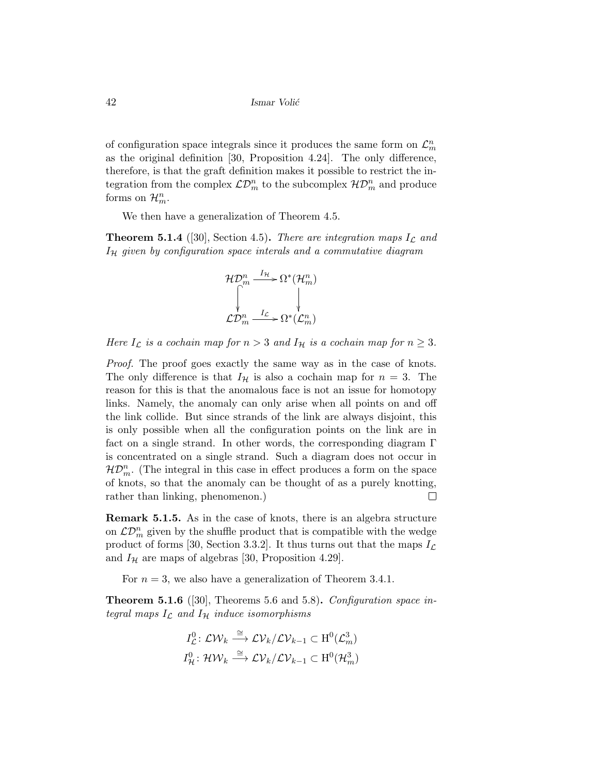of configuration space integrals since it produces the same form on  $\mathcal{L}_m^n$ as the original definition [30, Proposition 4.24]. The only difference, therefore, is that the graft definition makes it possible to restrict the integration from the complex  $\mathcal{LD}_m^n$  to the subcomplex  $\mathcal{HD}_m^n$  and produce forms on  $\mathcal{H}_m^n$ .

We then have a generalization of Theorem 4.5.

**Theorem 5.1.4** ([30], Section 4.5). There are integration maps  $I_{\mathcal{L}}$  and  $I_{\mathcal{H}}$  given by configuration space interals and a commutative diagram

$$
\mathcal{HD}^n_m \xrightarrow{I_H} \Omega^*(\mathcal{H}^n_m)
$$
  

$$
\downarrow \qquad \qquad \downarrow
$$
  

$$
\mathcal{LD}^n_m \xrightarrow{I_{\mathcal{L}}} \Omega^*(\mathcal{L}^n_m)
$$

Here  $I_{\mathcal{L}}$  is a cochain map for  $n > 3$  and  $I_{\mathcal{H}}$  is a cochain map for  $n \geq 3$ .

Proof. The proof goes exactly the same way as in the case of knots. The only difference is that  $I_{\mathcal{H}}$  is also a cochain map for  $n = 3$ . The reason for this is that the anomalous face is not an issue for homotopy links. Namely, the anomaly can only arise when all points on and off the link collide. But since strands of the link are always disjoint, this is only possible when all the configuration points on the link are in fact on a single strand. In other words, the corresponding diagram  $\Gamma$ is concentrated on a single strand. Such a diagram does not occur in  $\mathcal{HD}^n_m$ . (The integral in this case in effect produces a form on the space of knots, so that the anomaly can be thought of as a purely knotting, rather than linking, phenomenon.)  $\Box$ 

Remark 5.1.5. As in the case of knots, there is an algebra structure on  $\mathcal{LD}_m^n$  given by the shuffle product that is compatible with the wedge product of forms [30, Section 3.3.2]. It thus turns out that the maps  $I_{\mathcal{L}}$ and  $I_{\mathcal{H}}$  are maps of algebras [30, Proposition 4.29].

For  $n = 3$ , we also have a generalization of Theorem 3.4.1.

**Theorem 5.1.6** ([30], Theorems 5.6 and 5.8). Configuration space integral maps  $I_{\mathcal{L}}$  and  $I_{\mathcal{H}}$  induce isomorphisms

$$
I_{\mathcal{L}}^{0}: \mathcal{L}\mathcal{W}_{k} \stackrel{\cong}{\longrightarrow} \mathcal{L}\mathcal{V}_{k}/\mathcal{L}\mathcal{V}_{k-1} \subset \mathrm{H}^{0}(\mathcal{L}_{m}^{3})
$$
  

$$
I_{\mathcal{H}}^{0}: \mathcal{H}\mathcal{W}_{k} \stackrel{\cong}{\longrightarrow} \mathcal{L}\mathcal{V}_{k}/\mathcal{L}\mathcal{V}_{k-1} \subset \mathrm{H}^{0}(\mathcal{H}_{m}^{3})
$$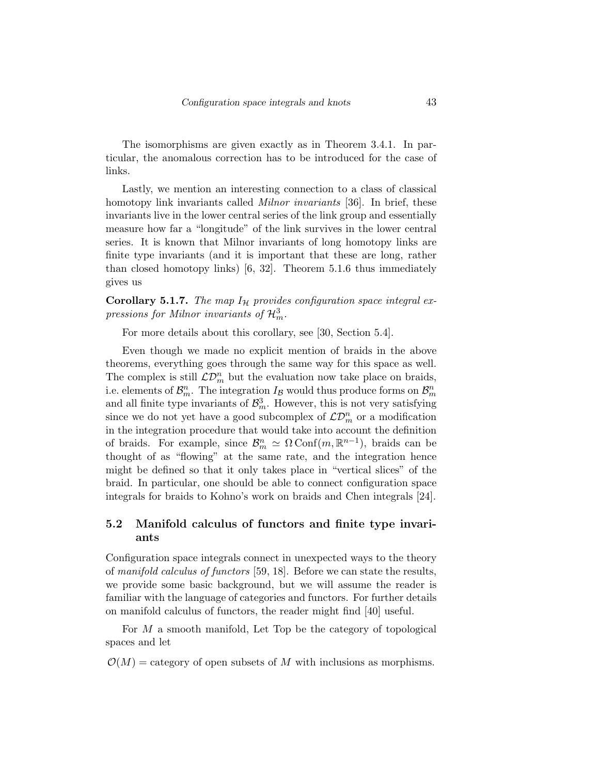The isomorphisms are given exactly as in Theorem 3.4.1. In particular, the anomalous correction has to be introduced for the case of links.

Lastly, we mention an interesting connection to a class of classical homotopy link invariants called *Milnor invariants* [36]. In brief, these invariants live in the lower central series of the link group and essentially measure how far a "longitude" of the link survives in the lower central series. It is known that Milnor invariants of long homotopy links are finite type invariants (and it is important that these are long, rather than closed homotopy links) [6, 32]. Theorem 5.1.6 thus immediately gives us

Corollary 5.1.7. The map  $I_H$  provides configuration space integral expressions for Milnor invariants of  $\mathcal{H}_m^3$ .

For more details about this corollary, see [30, Section 5.4].

Even though we made no explicit mention of braids in the above theorems, everything goes through the same way for this space as well. The complex is still  $\mathcal{LD}_m^n$  but the evaluation now take place on braids, i.e. elements of  $\mathcal{B}_{m}^{n}$ . The integration  $I_{\mathcal{B}}$  would thus produce forms on  $\mathcal{B}_{m}^{n}$ and all finite type invariants of  $\mathcal{B}_{m}^{3}$ . However, this is not very satisfying since we do not yet have a good subcomplex of  $\mathcal{LD}_m^n$  or a modification in the integration procedure that would take into account the definition of braids. For example, since  $\mathcal{B}_m^n \simeq \Omega \text{Conf}(m, \mathbb{R}^{n-1})$ , braids can be thought of as "flowing" at the same rate, and the integration hence might be defined so that it only takes place in "vertical slices" of the braid. In particular, one should be able to connect configuration space integrals for braids to Kohno's work on braids and Chen integrals [24].

### 5.2 Manifold calculus of functors and finite type invariants

Configuration space integrals connect in unexpected ways to the theory of manifold calculus of functors [59, 18]. Before we can state the results, we provide some basic background, but we will assume the reader is familiar with the language of categories and functors. For further details on manifold calculus of functors, the reader might find [40] useful.

For M a smooth manifold, Let Top be the category of topological spaces and let

 $\mathcal{O}(M)$  = category of open subsets of M with inclusions as morphisms.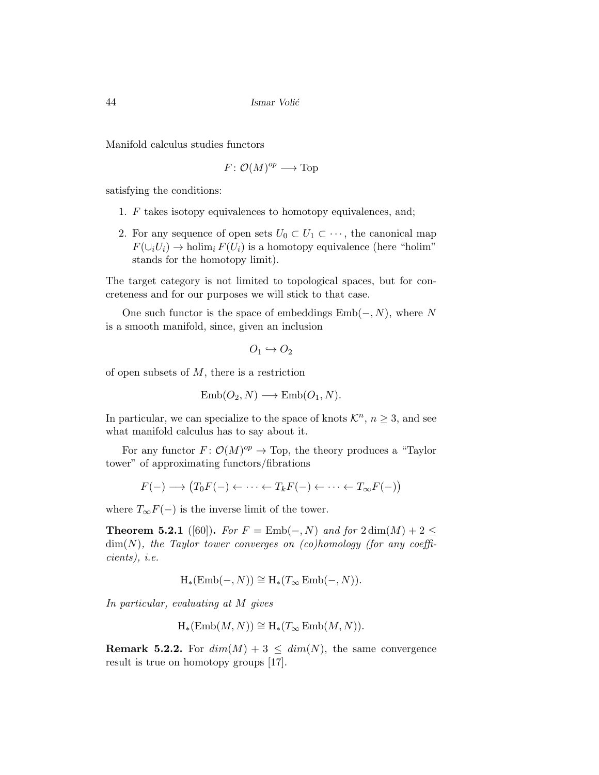Manifold calculus studies functors

$$
F: \mathcal{O}(M)^{op} \longrightarrow \text{Top}
$$

satisfying the conditions:

- 1. F takes isotopy equivalences to homotopy equivalences, and;
- 2. For any sequence of open sets  $U_0 \subset U_1 \subset \cdots$ , the canonical map  $F(\cup_i U_i) \to \text{holim}_i F(U_i)$  is a homotopy equivalence (here "holim" stands for the homotopy limit).

The target category is not limited to topological spaces, but for concreteness and for our purposes we will stick to that case.

One such functor is the space of embeddings  $Emb(-, N)$ , where N is a smooth manifold, since, given an inclusion

$$
O_1 \hookrightarrow O_2
$$

of open subsets of  $M$ , there is a restriction

$$
Emb(O_2, N) \longrightarrow Emb(O_1, N).
$$

In particular, we can specialize to the space of knots  $\mathcal{K}^n$ ,  $n \geq 3$ , and see what manifold calculus has to say about it.

For any functor  $F: \mathcal{O}(M)^{op} \to \text{Top}$ , the theory produces a "Taylor" tower" of approximating functors/fibrations

$$
F(-) \longrightarrow (T_0F(-) \leftarrow \cdots \leftarrow T_kF(-) \leftarrow \cdots \leftarrow T_{\infty}F(-))
$$

where  $T_{\infty}F(-)$  is the inverse limit of the tower.

**Theorem 5.2.1** ([60]). For  $F = \text{Emb}(-, N)$  and for  $2 \dim(M) + 2 \leq$  $\dim(N)$ , the Taylor tower converges on (co)homology (for any coefficients), i.e.

$$
H_*(\mathrm{Emb}(-, N)) \cong H_*(T_{\infty} \mathrm{Emb}(-, N)).
$$

In particular, evaluating at M gives

$$
H_*(\text{Emb}(M, N)) \cong H_*(T_\infty \text{Emb}(M, N)).
$$

**Remark 5.2.2.** For  $dim(M) + 3 \leq dim(N)$ , the same convergence result is true on homotopy groups [17].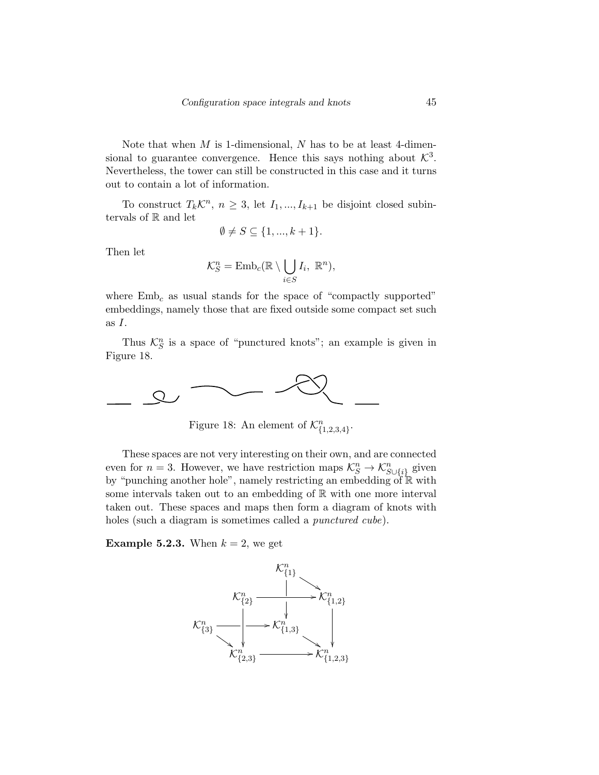Note that when  $M$  is 1-dimensional,  $N$  has to be at least 4-dimensional to guarantee convergence. Hence this says nothing about  $\mathcal{K}^3$ . Nevertheless, the tower can still be constructed in this case and it turns out to contain a lot of information.

To construct  $T_k \mathcal{K}^n$ ,  $n \geq 3$ , let  $I_1, ..., I_{k+1}$  be disjoint closed subintervals of R and let

$$
\emptyset \neq S \subseteq \{1, ..., k+1\}.
$$

Then let

$$
\mathcal{K}_S^n = \mathrm{Emb}_c(\mathbb{R} \setminus \bigcup_{i \in S} I_i, \ \mathbb{R}^n),
$$

where  $Emb<sub>c</sub>$  as usual stands for the space of "compactly supported" embeddings, namely those that are fixed outside some compact set such as I.

Thus  $\mathcal{K}_S^n$  is a space of "punctured knots"; an example is given in Figure 18.



Figure 18: An element of  $\mathcal{K}_{\{1,2,3,4\}}^n$ .

These spaces are not very interesting on their own, and are connected even for  $n = 3$ . However, we have restriction maps  $\mathcal{K}_S^n \to \mathcal{K}_{S \cup \{i\}}^n$  given by "punching another hole", namely restricting an embedding of  $\mathbb R$  with some intervals taken out to an embedding of  $\mathbb R$  with one more interval taken out. These spaces and maps then form a diagram of knots with holes (such a diagram is sometimes called a *punctured cube*).

**Example 5.2.3.** When  $k = 2$ , we get

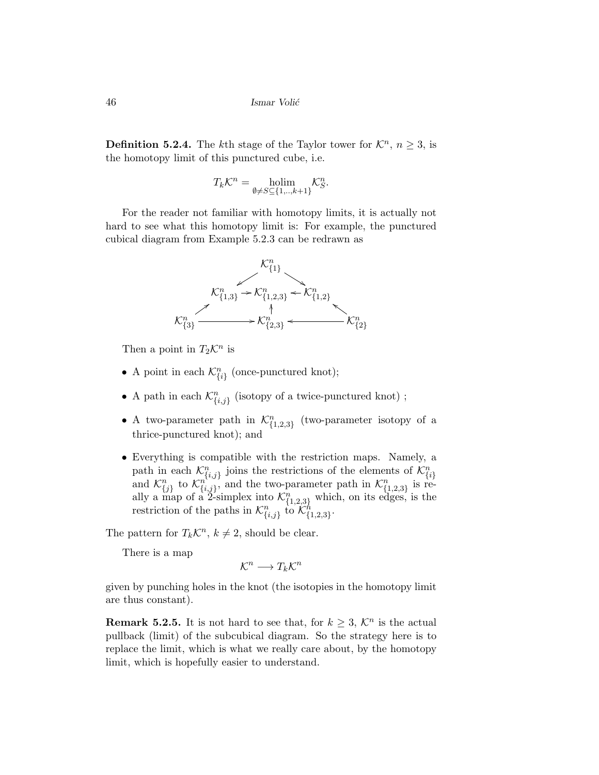**Definition 5.2.4.** The kth stage of the Taylor tower for  $\mathcal{K}^n$ ,  $n \geq 3$ , is the homotopy limit of this punctured cube, i.e.

$$
T_k \mathcal{K}^n = \underset{\emptyset \neq S \subseteq \{1, \dots, k+1\}}{\text{holim}} \mathcal{K}_S^n.
$$

For the reader not familiar with homotopy limits, it is actually not hard to see what this homotopy limit is: For example, the punctured cubical diagram from Example 5.2.3 can be redrawn as



Then a point in  $T_2\mathcal{K}^n$  is

- A point in each  $\mathcal{K}_{\{i\}}^n$  (once-punctured knot);
- A path in each  $\mathcal{K}_{\{i,j\}}^n$  (isotopy of a twice-punctured knot);
- A two-parameter path in  $\mathcal{K}_{\{1,2,3\}}^n$  (two-parameter isotopy of a thrice-punctured knot); and
- Everything is compatible with the restriction maps. Namely, a path in each  $\mathcal{K}_{\{i,j\}}^n$  joins the restrictions of the elements of  $\mathcal{K}_{\{i\}}^n$  and  $\mathcal{K}_{\{i,j\}}^n$  to  $\mathcal{K}_{\{i,j\}}^n$ , and the two-parameter path in  $\mathcal{K}_{\{1,2,3\}}^n$  is really a map of a 2-simplex into  $\mathcal{K}_{\{1,2,3\}}^n$  which, on its edges, is the restriction of the paths in  $\mathcal{K}_{\{i,j\}}^n$  to  $\mathcal{K}_{\{1,2,3\}}^n$ .

The pattern for  $T_k \mathcal{K}^n$ ,  $k \neq 2$ , should be clear.

There is a map

$$
\mathcal{K}^n \longrightarrow T_k\mathcal{K}^n
$$

given by punching holes in the knot (the isotopies in the homotopy limit are thus constant).

**Remark 5.2.5.** It is not hard to see that, for  $k \geq 3$ ,  $\mathcal{K}^n$  is the actual pullback (limit) of the subcubical diagram. So the strategy here is to replace the limit, which is what we really care about, by the homotopy limit, which is hopefully easier to understand.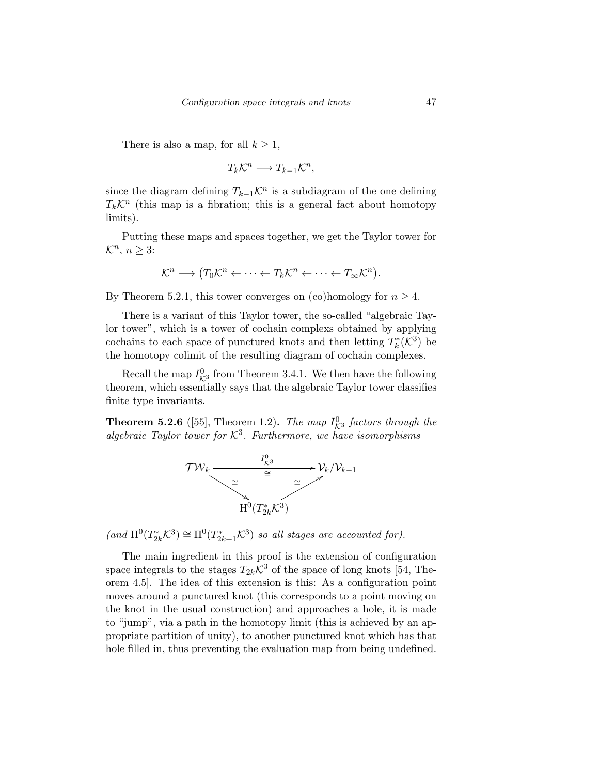There is also a map, for all  $k \geq 1$ ,

$$
T_k\mathcal{K}^n\longrightarrow T_{k-1}\mathcal{K}^n,
$$

since the diagram defining  $T_{k-1} \mathcal{K}^n$  is a subdiagram of the one defining  $T_k\mathcal{K}^n$  (this map is a fibration; this is a general fact about homotopy limits).

Putting these maps and spaces together, we get the Taylor tower for  $\mathcal{K}^n$ ,  $n \geq 3$ :

$$
\mathcal{K}^n \longrightarrow (T_0\mathcal{K}^n \leftarrow \cdots \leftarrow T_k\mathcal{K}^n \leftarrow \cdots \leftarrow T_{\infty}\mathcal{K}^n).
$$

By Theorem 5.2.1, this tower converges on (co)homology for  $n \geq 4$ .

There is a variant of this Taylor tower, the so-called "algebraic Taylor tower", which is a tower of cochain complexs obtained by applying cochains to each space of punctured knots and then letting  $T_k^*(\mathcal{K}^3)$  be the homotopy colimit of the resulting diagram of cochain complexes.

Recall the map  $I_{K^3}^0$  from Theorem 3.4.1. We then have the following theorem, which essentially says that the algebraic Taylor tower classifies finite type invariants.

**Theorem 5.2.6** ([55], Theorem 1.2). The map  $I_{\mathcal{K}^3}^0$  factors through the algebraic Taylor tower for  $K^3$ . Furthermore, we have isomorphisms



 $(and H<sup>0</sup>(T<sub>2k</sub><sup>*</sup>K<sup>3</sup>) \cong H<sup>0</sup>(T<sub>2k+1</sub><sup>*</sup>K<sup>3</sup>) so all stages are accounted for).$ 

The main ingredient in this proof is the extension of configuration space integrals to the stages  $T_{2k}\mathcal{K}^3$  of the space of long knots [54, Theorem 4.5]. The idea of this extension is this: As a configuration point moves around a punctured knot (this corresponds to a point moving on the knot in the usual construction) and approaches a hole, it is made to "jump", via a path in the homotopy limit (this is achieved by an appropriate partition of unity), to another punctured knot which has that hole filled in, thus preventing the evaluation map from being undefined.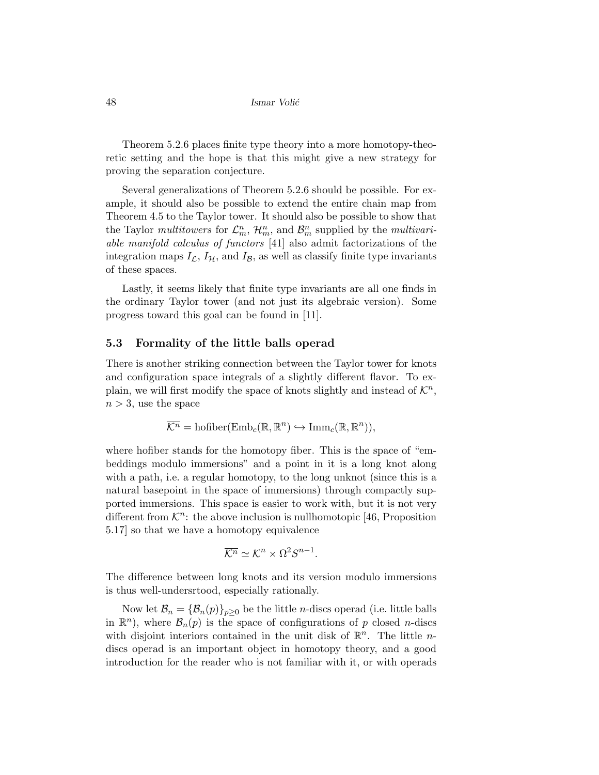Theorem 5.2.6 places finite type theory into a more homotopy-theoretic setting and the hope is that this might give a new strategy for proving the separation conjecture.

Several generalizations of Theorem 5.2.6 should be possible. For example, it should also be possible to extend the entire chain map from Theorem 4.5 to the Taylor tower. It should also be possible to show that the Taylor multitowers for  $\mathcal{L}_m^n$ ,  $\mathcal{H}_m^n$ , and  $\mathcal{B}_m^n$  supplied by the multivariable manifold calculus of functors [41] also admit factorizations of the integration maps  $I_{\mathcal{L}}, I_{\mathcal{H}},$  and  $I_{\mathcal{B}},$  as well as classify finite type invariants of these spaces.

Lastly, it seems likely that finite type invariants are all one finds in the ordinary Taylor tower (and not just its algebraic version). Some progress toward this goal can be found in [11].

### 5.3 Formality of the little balls operad

There is another striking connection between the Taylor tower for knots and configuration space integrals of a slightly different flavor. To explain, we will first modify the space of knots slightly and instead of  $\mathcal{K}^n$ ,  $n > 3$ , use the space

$$
\overline{\mathcal{K}^n} = \text{hofiber}(\text{Emb}_c(\mathbb{R}, \mathbb{R}^n) \hookrightarrow \text{Imm}_c(\mathbb{R}, \mathbb{R}^n)),
$$

where hofiber stands for the homotopy fiber. This is the space of "embeddings modulo immersions" and a point in it is a long knot along with a path, i.e. a regular homotopy, to the long unknot (since this is a natural basepoint in the space of immersions) through compactly supported immersions. This space is easier to work with, but it is not very different from  $K^n$ : the above inclusion is nullhomotopic [46, Proposition 5.17] so that we have a homotopy equivalence

$$
\overline{\mathcal{K}^n} \simeq \mathcal{K}^n \times \Omega^2 S^{n-1}.
$$

The difference between long knots and its version modulo immersions is thus well-undersrtood, especially rationally.

Now let  $\mathcal{B}_n = {\mathcal{B}_n(p)}_{p\geq 0}$  be the little n-discs operad (i.e. little balls in  $\mathbb{R}^n$ ), where  $\mathcal{B}_n(p)$  is the space of configurations of p closed n-discs with disjoint interiors contained in the unit disk of  $\mathbb{R}^n$ . The little *n*discs operad is an important object in homotopy theory, and a good introduction for the reader who is not familiar with it, or with operads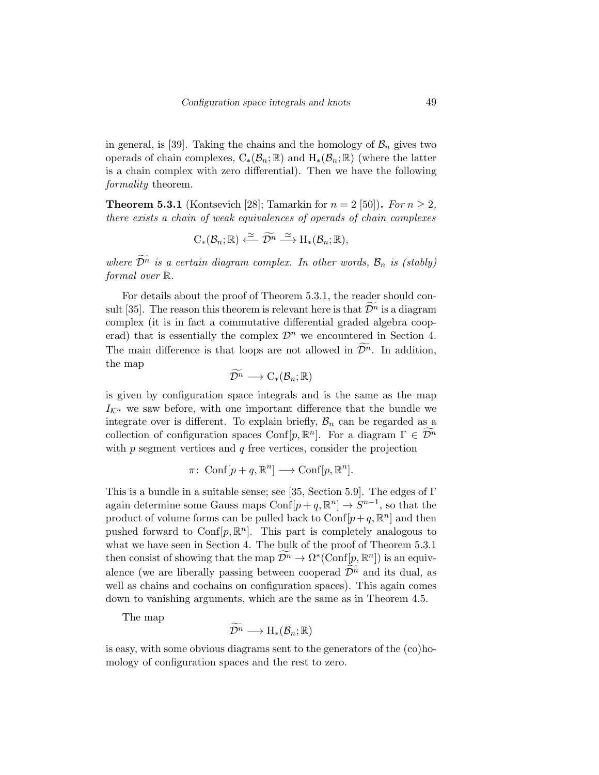in general, is [39]. Taking the chains and the homology of  $\mathcal{B}_n$  gives two operads of chain complexes,  $C_*(\mathcal{B}_n;\mathbb{R})$  and  $H_*(\mathcal{B}_n;\mathbb{R})$  (where the latter is a chain complex with zero differential). Then we have the following formality theorem.

**Theorem 5.3.1** (Kontsevich [28]; Tamarkin for  $n = 2$  [50]). For  $n \ge 2$ , there exists a chain of weak equivalences of operads of chain complexes

$$
C_*(\mathcal{B}_n;\mathbb{R}) \xleftarrow{\simeq} \widetilde{\mathcal{D}^n} \xrightarrow{\simeq} H_*(\mathcal{B}_n;\mathbb{R}),
$$

where  $\widetilde{\mathcal{D}^n}$  is a certain diagram complex. In other words,  $\mathcal{B}_n$  is (stably) formal over R.

For details about the proof of Theorem 5.3.1, the reader should consult [35]. The reason this theorem is relevant here is that  $\mathcal{D}^n$  is a diagram complex (it is in fact a commutative differential graded algebra cooperad) that is essentially the complex  $\mathcal{D}^n$  we encountered in Section 4. The main difference is that loops are not allowed in  $\mathcal{D}^n$ . In addition, the map

$$
\widetilde{\mathcal{D}^n}\longrightarrow \mathrm{C}_*(\mathcal{B}_n;\mathbb{R})
$$

is given by configuration space integrals and is the same as the map  $I_{\mathcal{K}^n}$  we saw before, with one important difference that the bundle we integrate over is different. To explain briefly,  $\mathcal{B}_n$  can be regarded as a collection of configuration spaces Conf[p,  $\mathbb{R}^n$ ]. For a diagram  $\Gamma \in \widetilde{\mathcal{D}^n}$ with  $p$  segment vertices and  $q$  free vertices, consider the projection

$$
\pi\colon \operatorname{Conf}[p+q,\mathbb{R}^n]\longrightarrow \operatorname{Conf}[p,\mathbb{R}^n].
$$

This is a bundle in a suitable sense; see [35, Section 5.9]. The edges of  $\Gamma$ again determine some Gauss maps  $\text{Conf}[p+q,\mathbb{R}^n] \to S^{n-1}$ , so that the product of volume forms can be pulled back to  $\text{Conf}[p+q, \mathbb{R}^n]$  and then pushed forward to Conf $[p, \mathbb{R}^n]$ . This part is completely analogous to what we have seen in Section 4. The bulk of the proof of Theorem 5.3.1 then consist of showing that the map  $\widetilde{\mathcal{D}^n} \to \Omega^*(\mathrm{Conf}[\underline{p}, \mathbb{R}^n])$  is an equivalence (we are liberally passing between cooperad  $\widetilde{\mathcal{D}^n}$  and its dual, as well as chains and cochains on configuration spaces). This again comes down to vanishing arguments, which are the same as in Theorem 4.5.

The map

$$
\widetilde{\mathcal{D}^n} \longrightarrow \mathrm{H}_*(\mathcal{B}_n;\mathbb{R})
$$

is easy, with some obvious diagrams sent to the generators of the (co)homology of configuration spaces and the rest to zero.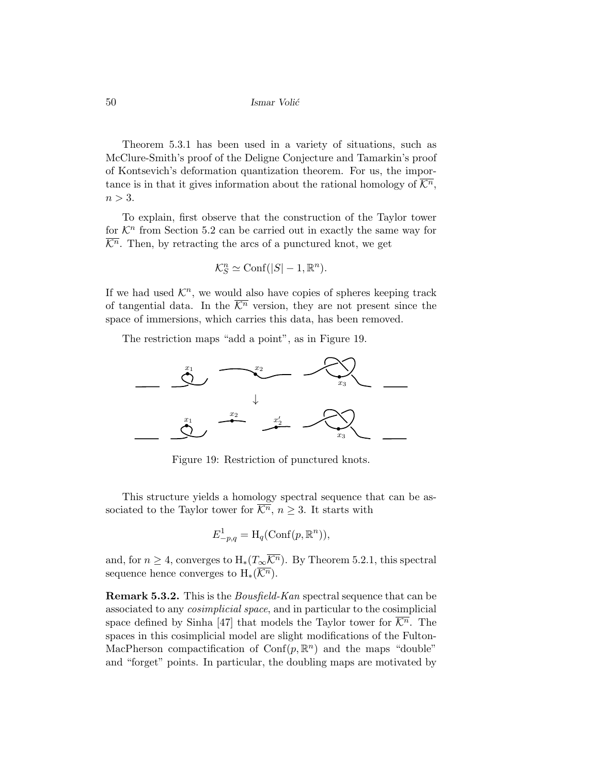Theorem 5.3.1 has been used in a variety of situations, such as McClure-Smith's proof of the Deligne Conjecture and Tamarkin's proof of Kontsevich's deformation quantization theorem. For us, the importance is in that it gives information about the rational homology of  $\overline{\mathcal{K}^n}$ ,  $n > 3$ .

To explain, first observe that the construction of the Taylor tower for  $\mathcal{K}^n$  from Section 5.2 can be carried out in exactly the same way for  $\overline{\mathcal{K}^n}$ . Then, by retracting the arcs of a punctured knot, we get

$$
\mathcal{K}_S^n \simeq \text{Conf}(|S| - 1, \mathbb{R}^n).
$$

If we had used  $\mathcal{K}^n$ , we would also have copies of spheres keeping track of tangential data. In the  $\overline{\mathcal{K}^n}$  version, they are not present since the space of immersions, which carries this data, has been removed.

The restriction maps "add a point", as in Figure 19.



Figure 19: Restriction of punctured knots.

This structure yields a homology spectral sequence that can be associated to the Taylor tower for  $\overline{\mathcal{K}^n}$ ,  $n \geq 3$ . It starts with

$$
E_{-p,q}^1 = \mathcal{H}_q(\mathrm{Conf}(p, \mathbb{R}^n)),
$$

and, for  $n \geq 4$ , converges to  $H_*(T_\infty \overline{\mathcal{K}^n})$ . By Theorem 5.2.1, this spectral sequence hence converges to  $H_*(\overline{\mathcal{K}^n})$ .

Remark 5.3.2. This is the *Bousfield-Kan* spectral sequence that can be associated to any cosimplicial space, and in particular to the cosimplicial space defined by Sinha [47] that models the Taylor tower for  $\overline{\mathcal{K}^n}$ . The spaces in this cosimplicial model are slight modifications of the Fulton-MacPherson compactification of  $Conf(p, \mathbb{R}^n)$  and the maps "double" and "forget" points. In particular, the doubling maps are motivated by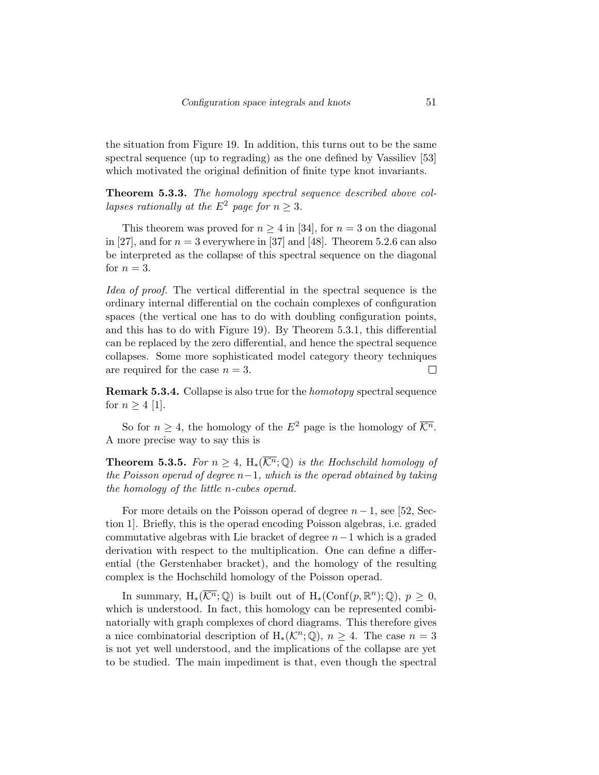the situation from Figure 19. In addition, this turns out to be the same spectral sequence (up to regrading) as the one defined by Vassiliev [53] which motivated the original definition of finite type knot invariants.

Theorem 5.3.3. The homology spectral sequence described above collapses rationally at the  $E^2$  page for  $n > 3$ .

This theorem was proved for  $n \geq 4$  in [34], for  $n = 3$  on the diagonal in [27], and for  $n = 3$  everywhere in [37] and [48]. Theorem 5.2.6 can also be interpreted as the collapse of this spectral sequence on the diagonal for  $n=3$ .

Idea of proof. The vertical differential in the spectral sequence is the ordinary internal differential on the cochain complexes of configuration spaces (the vertical one has to do with doubling configuration points, and this has to do with Figure 19). By Theorem 5.3.1, this differential can be replaced by the zero differential, and hence the spectral sequence collapses. Some more sophisticated model category theory techniques are required for the case  $n = 3$ .  $\Box$ 

Remark 5.3.4. Collapse is also true for the homotopy spectral sequence for  $n \geq 4$  [1].

So for  $n > 4$ , the homology of the  $E^2$  page is the homology of  $\overline{\mathcal{K}^n}$ . A more precise way to say this is

**Theorem 5.3.5.** For  $n \geq 4$ , H<sub>\*</sub>( $\overline{\mathcal{K}^n}$ ;  $\mathbb{Q}$ ) is the Hochschild homology of the Poisson operad of degree  $n-1$ , which is the operad obtained by taking the homology of the little n-cubes operad.

For more details on the Poisson operad of degree  $n-1$ , see [52, Section 1]. Briefly, this is the operad encoding Poisson algebras, i.e. graded commutative algebras with Lie bracket of degree  $n-1$  which is a graded derivation with respect to the multiplication. One can define a differential (the Gerstenhaber bracket), and the homology of the resulting complex is the Hochschild homology of the Poisson operad.

In summary,  $H_*(\overline{\mathcal{K}^n}; \mathbb{Q})$  is built out of  $H_*(\text{Conf}(p, \mathbb{R}^n); \mathbb{Q})$ ,  $p \geq 0$ , which is understood. In fact, this homology can be represented combinatorially with graph complexes of chord diagrams. This therefore gives a nice combinatorial description of  $H_*(\mathcal{K}^n;\mathbb{Q})$ ,  $n \geq 4$ . The case  $n = 3$ is not yet well understood, and the implications of the collapse are yet to be studied. The main impediment is that, even though the spectral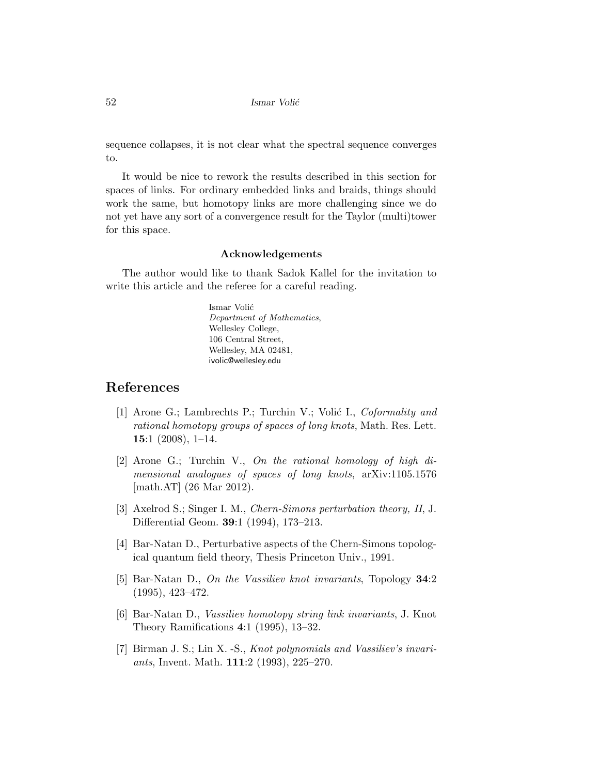sequence collapses, it is not clear what the spectral sequence converges to.

It would be nice to rework the results described in this section for spaces of links. For ordinary embedded links and braids, things should work the same, but homotopy links are more challenging since we do not yet have any sort of a convergence result for the Taylor (multi)tower for this space.

### Acknowledgements

The author would like to thank Sadok Kallel for the invitation to write this article and the referee for a careful reading.

> Ismar Volić Department of Mathematics, Wellesley College, 106 Central Street, Wellesley, MA 02481, ivolic@wellesley.edu

### References

- [1] Arone G.; Lambrechts P.; Turchin V.; Volić I., Coformality and rational homotopy groups of spaces of long knots, Math. Res. Lett. 15:1  $(2008)$ , 1-14.
- [2] Arone G.; Turchin V., On the rational homology of high dimensional analogues of spaces of long knots, arXiv:1105.1576 [math.AT] (26 Mar 2012).
- [3] Axelrod S.; Singer I. M., Chern-Simons perturbation theory, II, J. Differential Geom. 39:1 (1994), 173–213.
- [4] Bar-Natan D., Perturbative aspects of the Chern-Simons topological quantum field theory, Thesis Princeton Univ., 1991.
- [5] Bar-Natan D., On the Vassiliev knot invariants, Topology 34:2 (1995), 423–472.
- [6] Bar-Natan D., Vassiliev homotopy string link invariants, J. Knot Theory Ramifications 4:1 (1995), 13–32.
- [7] Birman J. S.; Lin X. -S., Knot polynomials and Vassiliev's invariants, Invent. Math. 111:2 (1993), 225–270.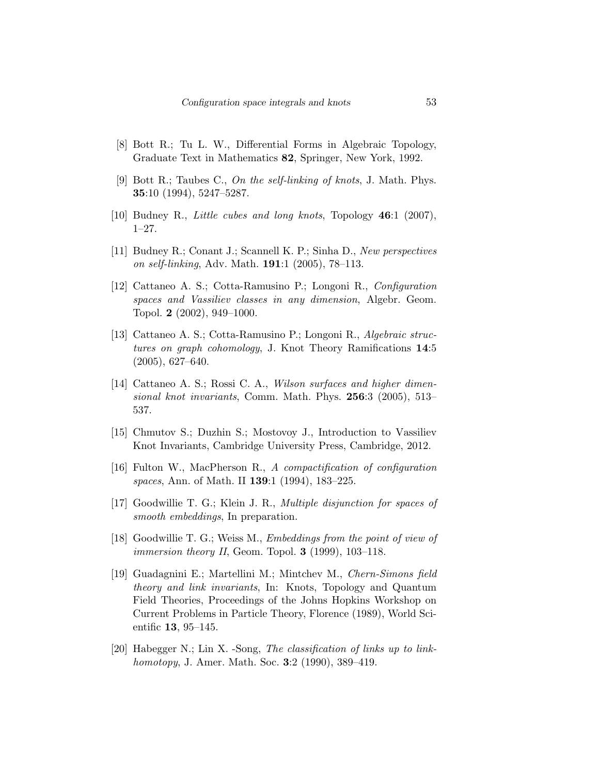- [8] Bott R.; Tu L. W., Differential Forms in Algebraic Topology, Graduate Text in Mathematics 82, Springer, New York, 1992.
- [9] Bott R.; Taubes C., On the self-linking of knots, J. Math. Phys. 35:10 (1994), 5247–5287.
- [10] Budney R., Little cubes and long knots, Topology 46:1 (2007), 1–27.
- [11] Budney R.; Conant J.; Scannell K. P.; Sinha D., New perspectives on self-linking, Adv. Math. 191:1 (2005), 78–113.
- [12] Cattaneo A. S.; Cotta-Ramusino P.; Longoni R., Configuration spaces and Vassiliev classes in any dimension, Algebr. Geom. Topol. 2 (2002), 949–1000.
- [13] Cattaneo A. S.; Cotta-Ramusino P.; Longoni R., Algebraic structures on graph cohomology, J. Knot Theory Ramifications 14:5 (2005), 627–640.
- [14] Cattaneo A. S.; Rossi C. A., Wilson surfaces and higher dimensional knot invariants, Comm. Math. Phys. 256:3 (2005), 513– 537.
- [15] Chmutov S.; Duzhin S.; Mostovoy J., Introduction to Vassiliev Knot Invariants, Cambridge University Press, Cambridge, 2012.
- [16] Fulton W., MacPherson R., A compactification of configuration spaces, Ann. of Math. II 139:1 (1994), 183–225.
- [17] Goodwillie T. G.; Klein J. R., Multiple disjunction for spaces of smooth embeddings, In preparation.
- [18] Goodwillie T. G.; Weiss M., *Embeddings from the point of view of immersion theory II*, Geom. Topol. **3** (1999), 103–118.
- [19] Guadagnini E.; Martellini M.; Mintchev M., Chern-Simons field theory and link invariants, In: Knots, Topology and Quantum Field Theories, Proceedings of the Johns Hopkins Workshop on Current Problems in Particle Theory, Florence (1989), World Scientific 13, 95–145.
- [20] Habegger N.; Lin X. -Song, The classification of links up to linkhomotopy, J. Amer. Math. Soc. 3:2 (1990), 389–419.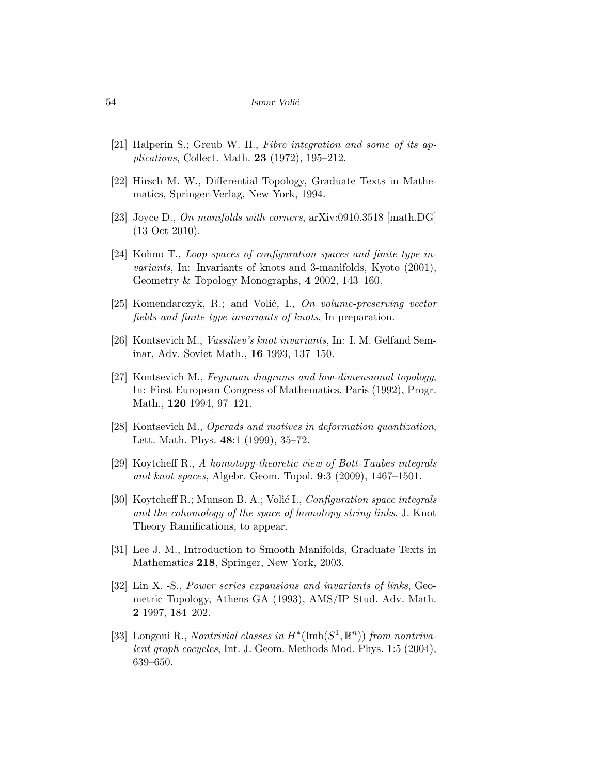- [21] Halperin S.; Greub W. H., Fibre integration and some of its applications, Collect. Math. 23 (1972), 195–212.
- [22] Hirsch M. W., Differential Topology, Graduate Texts in Mathematics, Springer-Verlag, New York, 1994.
- [23] Joyce D., On manifolds with corners, arXiv:0910.3518 [math.DG] (13 Oct 2010).
- [24] Kohno T., Loop spaces of configuration spaces and finite type invariants, In: Invariants of knots and 3-manifolds, Kyoto (2001), Geometry & Topology Monographs, 4 2002, 143–160.
- [25] Komendarczyk, R.; and Volić, I., On volume-preserving vector fields and finite type invariants of knots, In preparation.
- [26] Kontsevich M., Vassiliev's knot invariants, In: I. M. Gelfand Seminar, Adv. Soviet Math., 16 1993, 137–150.
- [27] Kontsevich M., Feynman diagrams and low-dimensional topology, In: First European Congress of Mathematics, Paris (1992), Progr. Math., 120 1994, 97–121.
- [28] Kontsevich M., Operads and motives in deformation quantization, Lett. Math. Phys. 48:1 (1999), 35–72.
- [29] Koytcheff R., A homotopy-theoretic view of Bott-Taubes integrals and knot spaces, Algebr. Geom. Topol. 9:3 (2009), 1467–1501.
- [30] Koytcheff R.; Munson B. A.; Volić I., Configuration space integrals and the cohomology of the space of homotopy string links, J. Knot Theory Ramifications, to appear.
- [31] Lee J. M., Introduction to Smooth Manifolds, Graduate Texts in Mathematics 218, Springer, New York, 2003.
- [32] Lin X. -S., Power series expansions and invariants of links, Geometric Topology, Athens GA (1993), AMS/IP Stud. Adv. Math. 2 1997, 184–202.
- [33] Longoni R., Nontrivial classes in  $H^*(\text{Imb}(S^1,\mathbb{R}^n))$  from nontrivalent graph cocycles, Int. J. Geom. Methods Mod. Phys. 1:5 (2004), 639–650.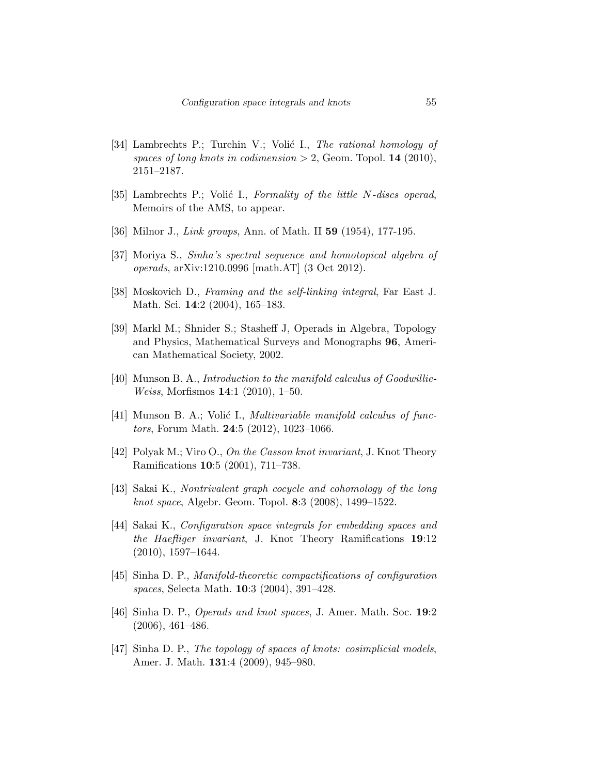- [34] Lambrechts P.; Turchin V.; Volić I., The rational homology of spaces of long knots in codimension  $> 2$ , Geom. Topol. 14 (2010), 2151–2187.
- [35] Lambrechts P.; Volić I., Formality of the little N-discs operad, Memoirs of the AMS, to appear.
- [36] Milnor J., *Link groups*, Ann. of Math. II **59** (1954), 177-195.
- [37] Moriya S., Sinha's spectral sequence and homotopical algebra of operads, arXiv:1210.0996 [math.AT] (3 Oct 2012).
- [38] Moskovich D., Framing and the self-linking integral, Far East J. Math. Sci. 14:2 (2004), 165–183.
- [39] Markl M.; Shnider S.; Stasheff J, Operads in Algebra, Topology and Physics, Mathematical Surveys and Monographs 96, American Mathematical Society, 2002.
- [40] Munson B. A., Introduction to the manifold calculus of Goodwillie-Weiss, Morfismos 14:1 (2010), 1–50.
- [41] Munson B. A.; Volić I., *Multivariable manifold calculus of func*tors, Forum Math. 24:5 (2012), 1023–1066.
- [42] Polyak M.; Viro O., On the Casson knot invariant, J. Knot Theory Ramifications 10:5 (2001), 711–738.
- [43] Sakai K., Nontrivalent graph cocycle and cohomology of the long knot space, Algebr. Geom. Topol. 8:3 (2008), 1499–1522.
- [44] Sakai K., Configuration space integrals for embedding spaces and the Haefliger invariant, J. Knot Theory Ramifications 19:12  $(2010), 1597-1644.$
- [45] Sinha D. P., Manifold-theoretic compactifications of configuration spaces, Selecta Math. 10:3 (2004), 391–428.
- [46] Sinha D. P., Operads and knot spaces, J. Amer. Math. Soc. 19:2 (2006), 461–486.
- [47] Sinha D. P., The topology of spaces of knots: cosimplicial models, Amer. J. Math. 131:4 (2009), 945–980.